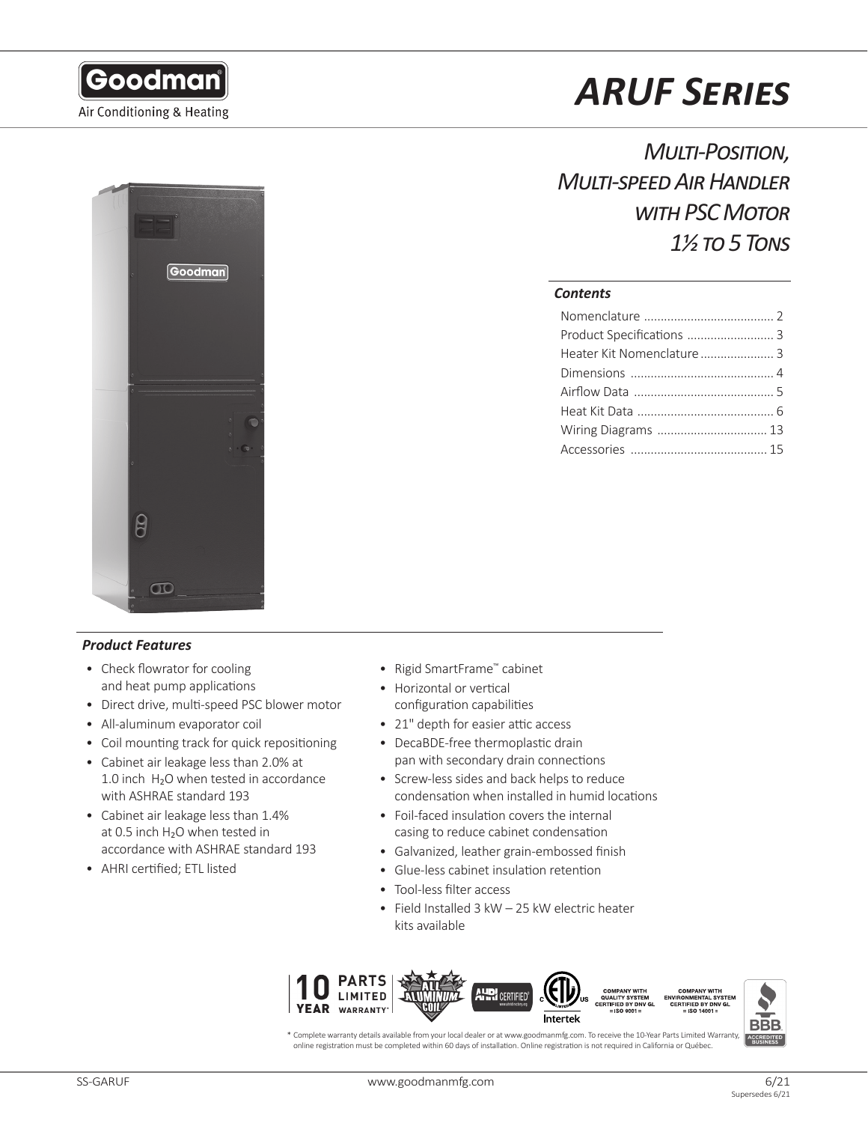



# *Product Features*

- Check flowrator for cooling and heat pump applications
- Direct drive, multi-speed PSC blower motor
- All-aluminum evaporator coil
- Coil mounting track for quick repositioning
- Cabinet air leakage less than 2.0% at 1.0 inch  $H<sub>2</sub>O$  when tested in accordance with ASHRAE standard 193
- Cabinet air leakage less than 1.4% at 0.5 inch H<sub>2</sub>O when tested in accordance with ASHRAE standard 193
- AHRI certified; ETL listed

# *ARUF Series*

*Multi-Position, Multi-speed Air Handler with PSC Motor 1½ to 5 Tons*

# *Contents*

- Rigid SmartFrame™ cabinet
- Horizontal or vertical configuration capabilities
- 21" depth for easier attic access
- DecaBDE-free thermoplastic drain pan with secondary drain connections
- Screw-less sides and back helps to reduce condensation when installed in humid locations
- Foil-faced insulation covers the internal casing to reduce cabinet condensation
- Galvanized, leather grain-embossed finish
- Glue-less cabinet insulation retention
- Tool-less filter access
- Field Installed 3 kW 25 kW electric heater kits available



\* Complete warranty details available from your local dealer or at www.goodmanmfg.com. To receive the 10-Year Parts Limited Warranty, online registration must be completed within 60 days of installation. Online registration is not required in California or Québec.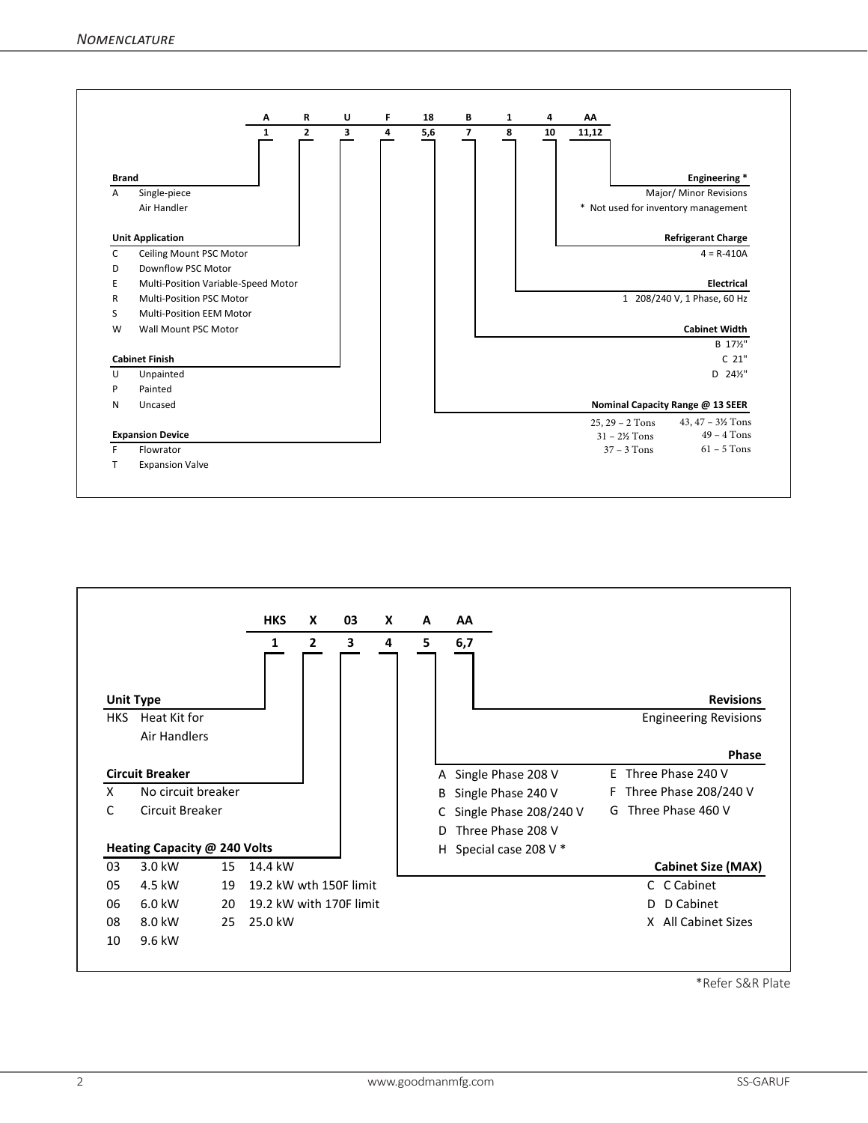



\*Refer S&R Plate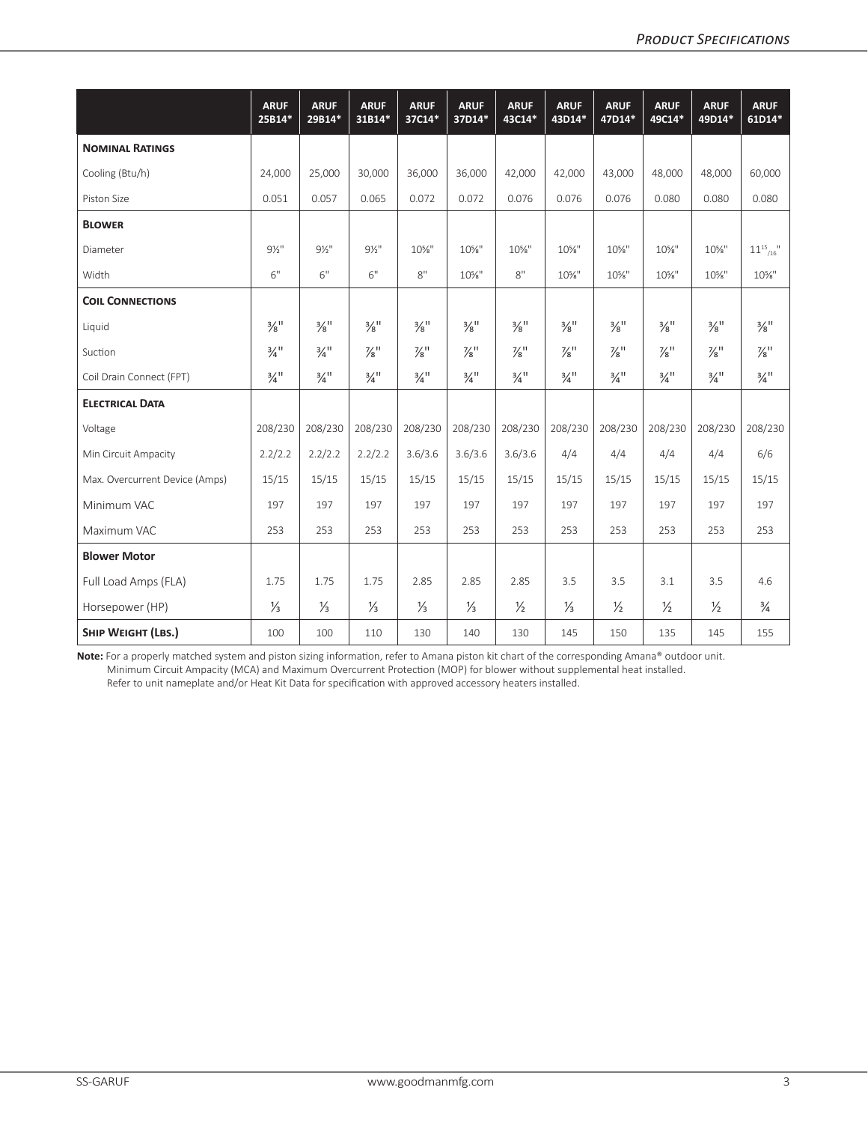|                                | <b>ARUF</b><br>25B14*       | <b>ARUF</b><br>29B14*       | <b>ARUF</b><br>31B14*       | <b>ARUF</b><br>37C14*       | <b>ARUF</b><br>37D14*       | <b>ARUF</b><br>43C14*       | <b>ARUF</b><br>43D14*       | <b>ARUF</b><br>47D14*       | <b>ARUF</b><br>49C14*       | <b>ARUF</b><br>49D14*       | <b>ARUF</b><br>61D14*       |
|--------------------------------|-----------------------------|-----------------------------|-----------------------------|-----------------------------|-----------------------------|-----------------------------|-----------------------------|-----------------------------|-----------------------------|-----------------------------|-----------------------------|
| <b>NOMINAL RATINGS</b>         |                             |                             |                             |                             |                             |                             |                             |                             |                             |                             |                             |
| Cooling (Btu/h)                | 24,000                      | 25,000                      | 30,000                      | 36,000                      | 36,000                      | 42,000                      | 42,000                      | 43,000                      | 48,000                      | 48,000                      | 60,000                      |
| Piston Size                    | 0.051                       | 0.057                       | 0.065                       | 0.072                       | 0.072                       | 0.076                       | 0.076                       | 0.076                       | 0.080                       | 0.080                       | 0.080                       |
| <b>BLOWER</b>                  |                             |                             |                             |                             |                             |                             |                             |                             |                             |                             |                             |
| Diameter                       | $9\frac{1}{2}$ "            | $9\frac{1}{2}$ "            | $9\frac{1}{2}$ "            | 10%"                        | $10\%$ "                    | 10%"                        | $10\%$ "                    | $10\%$ "                    | 10%"                        | 10%"                        | $11^{15}$ $^{11}$           |
| Width                          | 6"                          | 6"                          | 6"                          | 8"                          | $10\%$ "                    | 8"                          | $10\%$ "                    | $10\%$ "                    | 10%"                        | $10\%$ "                    | $10\%$ "                    |
| <b>COIL CONNECTIONS</b>        |                             |                             |                             |                             |                             |                             |                             |                             |                             |                             |                             |
| Liquid                         | $\frac{3}{8}$ <sup>11</sup> | $\frac{3}{8}$ <sup>11</sup> | $\frac{3}{8}$ <sup>11</sup> | $\frac{3}{8}$ <sup>11</sup> | $\frac{3}{8}$ <sup>11</sup> | $\frac{3}{8}$ <sup>11</sup> | $\frac{3}{8}$ <sup>11</sup> | $\frac{3}{8}$ <sup>11</sup> | $\frac{3}{8}$ <sup>11</sup> | $\frac{3}{8}$ <sup>11</sup> | $\frac{3}{8}$ <sup>11</sup> |
| Suction                        | $\frac{3}{4}$ <sup>11</sup> | $\frac{3}{4}$ <sup>11</sup> | $\frac{7}{8}$ <sup>11</sup> | $\frac{7}{8}$ <sup>11</sup> | $\frac{7}{8}$ <sup>11</sup> | $\frac{7}{8}$ <sup>11</sup> | $\frac{7}{8}$ <sup>11</sup> | $\frac{7}{8}$ <sup>11</sup> | $\frac{7}{8}$ <sup>11</sup> | $\frac{7}{8}$ <sup>11</sup> | $\frac{7}{8}$ "             |
| Coil Drain Connect (FPT)       | $\frac{3}{4}$ <sup>11</sup> | $\frac{3}{4}$ <sup>11</sup> | $\frac{3}{4}$ <sup>11</sup> | $\frac{3}{4}$ <sup>11</sup> | $\frac{3}{4}$ <sup>11</sup> | $\frac{3}{4}$ <sup>11</sup> | $\frac{3}{4}$ <sup>11</sup> | $\frac{3}{4}$ <sup>11</sup> | $\frac{3}{4}$ <sup>11</sup> | $\frac{3}{4}$ <sup>11</sup> | $\frac{3}{4}$ <sup>11</sup> |
| <b>ELECTRICAL DATA</b>         |                             |                             |                             |                             |                             |                             |                             |                             |                             |                             |                             |
| Voltage                        | 208/230                     | 208/230                     | 208/230                     | 208/230                     | 208/230                     | 208/230                     | 208/230                     | 208/230                     | 208/230                     | 208/230                     | 208/230                     |
| Min Circuit Ampacity           | 2.2/2.2                     | 2.2/2.2                     | 2.2/2.2                     | 3.6/3.6                     | 3.6/3.6                     | 3.6/3.6                     | 4/4                         | 4/4                         | 4/4                         | 4/4                         | 6/6                         |
| Max. Overcurrent Device (Amps) | 15/15                       | 15/15                       | 15/15                       | 15/15                       | 15/15                       | 15/15                       | 15/15                       | 15/15                       | 15/15                       | 15/15                       | 15/15                       |
| Minimum VAC                    | 197                         | 197                         | 197                         | 197                         | 197                         | 197                         | 197                         | 197                         | 197                         | 197                         | 197                         |
| Maximum VAC                    | 253                         | 253                         | 253                         | 253                         | 253                         | 253                         | 253                         | 253                         | 253                         | 253                         | 253                         |
| <b>Blower Motor</b>            |                             |                             |                             |                             |                             |                             |                             |                             |                             |                             |                             |
| Full Load Amps (FLA)           | 1.75                        | 1.75                        | 1.75                        | 2.85                        | 2.85                        | 2.85                        | 3.5                         | 3.5                         | 3.1                         | 3.5                         | 4.6                         |
| Horsepower (HP)                | $\frac{1}{3}$               | $\frac{1}{3}$               | $\frac{1}{3}$               | ⅓                           | $\frac{1}{3}$               | $\frac{1}{2}$               | $\frac{1}{3}$               | $\frac{1}{2}$               | $\frac{1}{2}$               | $\frac{1}{2}$               | $\frac{3}{4}$               |
| SHIP WEIGHT (LBS.)             | 100                         | 100                         | 110                         | 130                         | 140                         | 130                         | 145                         | 150                         | 135                         | 145                         | 155                         |

**Note:** For a properly matched system and piston sizing information, refer to Amana piston kit chart of the corresponding Amana® outdoor unit. Minimum Circuit Ampacity (MCA) and Maximum Overcurrent Protection (MOP) for blower without supplemental heat installed. Refer to unit nameplate and/or Heat Kit Data for specification with approved accessory heaters installed.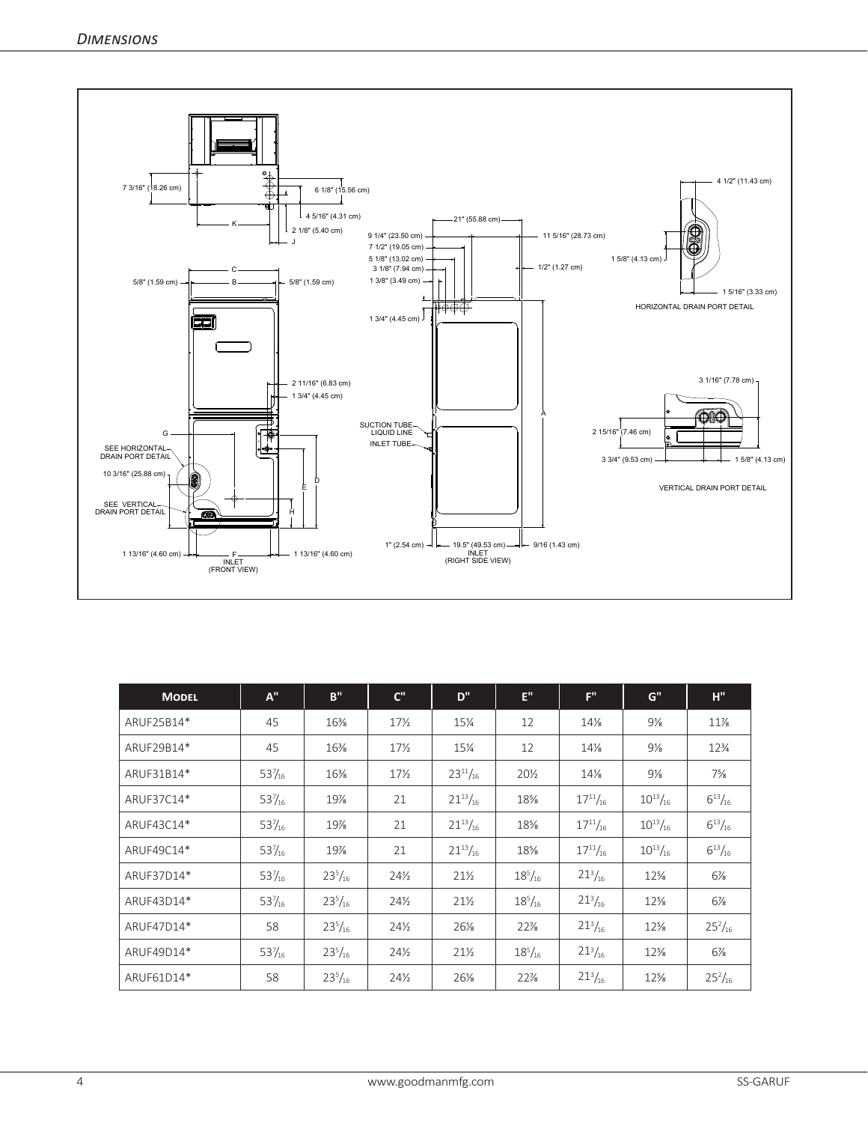

| <b>MODEL</b> | $A^{\prime\prime}$ | B''            | $C^{\prime\prime}$ | D"              | E"             | F''             | $G^{\prime\prime}$ | H''             |
|--------------|--------------------|----------------|--------------------|-----------------|----------------|-----------------|--------------------|-----------------|
| ARUF25B14*   | 45                 | 16%            | $17\frac{1}{2}$    | 15¼             | 12             | 14%             | $9\%$              | $11\%$          |
| ARUF29B14*   | 45                 | $16\%$         | $17\frac{1}{2}$    | 15¼             | 12             | 14%             | $9\frac{1}{8}$     | $12\frac{3}{4}$ |
| ARUF31B14*   | $53\frac{7}{16}$   | $16\%$         | $17\frac{1}{2}$    | $23^{11}/_{16}$ | 20½            | 14%             | 9%                 | $7\frac{5}{8}$  |
| ARUF37C14*   | $53\frac{7}{16}$   | 19%            | 21                 | $21^{13}/_{16}$ | 18%            | $17^{11}/_{16}$ | $10^{13}/_{16}$    | $6^{13}/_{16}$  |
| ARUF43C14*   | $53\frac{7}{16}$   | 19%            | 21                 | $21^{13}/_{16}$ | 18%            | $17^{11}/_{16}$ | $10^{13}/_{16}$    | $6^{13}/_{16}$  |
| ARUF49C14*   | $53\frac{7}{16}$   | 19%            | 21                 | $21^{13}/_{16}$ | 18%            | $17^{11}/_{16}$ | $10^{13}/_{16}$    | $6^{13}/_{16}$  |
| ARUF37D14*   | $53\frac{7}{16}$   | $23^{5}/_{16}$ | 24%                | $21\%$          | $18^{5}/_{16}$ | $21^{3}/_{16}$  | $12\%$             | $6\frac{7}{8}$  |
| ARUF43D14*   | $53\frac{7}{16}$   | $23^{5}/_{16}$ | $24\frac{1}{2}$    | $21\frac{1}{2}$ | $18^{5}/_{16}$ | $21^{3}/_{16}$  | $12\%$             | $6\frac{7}{8}$  |
| ARUF47D14*   | 58                 | $23^{5}/_{16}$ | $24\frac{1}{2}$    | $26\%$          | $22\%$         | $21^{3}/_{16}$  | $12\%$             | $25^{2}/_{16}$  |
| ARUF49D14*   | $53\frac{7}{16}$   | $23^{5}/_{16}$ | $24\frac{1}{2}$    | $21\%$          | $18^{5}/_{16}$ | $21^{3}/_{16}$  | $12\%$             | $6\frac{7}{8}$  |
| ARUF61D14*   | 58                 | $23^{5}/_{16}$ | $24\frac{1}{2}$    | 26%             | $22\%$         | $21^{3}/_{16}$  | $12\%$             | $25^{2}/_{16}$  |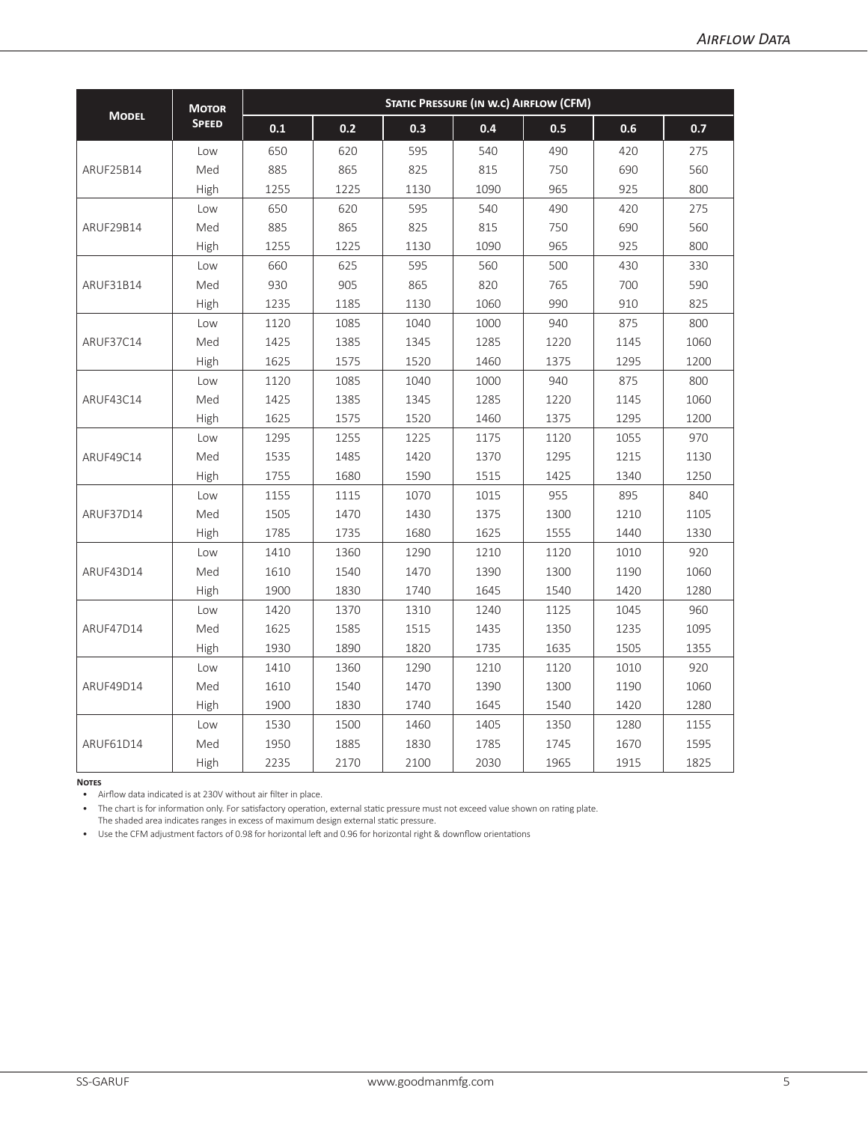|              | <b>MOTOR</b> | <b>STATIC PRESSURE (IN W.C) AIRFLOW (CFM)</b> |      |      |      |      |      |      |  |  |  |  |
|--------------|--------------|-----------------------------------------------|------|------|------|------|------|------|--|--|--|--|
| <b>MODEL</b> | <b>SPEED</b> | 0.1                                           | 0.2  | 0.3  | 0.4  | 0.5  | 0.6  | 0.7  |  |  |  |  |
|              | Low          | 650                                           | 620  | 595  | 540  | 490  | 420  | 275  |  |  |  |  |
| ARUF25B14    | Med          | 885                                           | 865  | 825  | 815  | 750  | 690  | 560  |  |  |  |  |
|              | High         | 1255                                          | 1225 | 1130 | 1090 | 965  | 925  | 800  |  |  |  |  |
|              | Low          | 650                                           | 620  | 595  | 540  | 490  | 420  | 275  |  |  |  |  |
| ARUF29B14    | Med          | 885                                           | 865  | 825  | 815  | 750  | 690  | 560  |  |  |  |  |
|              | High         | 1255                                          | 1225 | 1130 | 1090 | 965  | 925  | 800  |  |  |  |  |
|              | Low          | 660                                           | 625  | 595  | 560  | 500  | 430  | 330  |  |  |  |  |
| ARUF31B14    | Med          | 930                                           | 905  | 865  | 820  | 765  | 700  | 590  |  |  |  |  |
|              | High         | 1235                                          | 1185 | 1130 | 1060 | 990  | 910  | 825  |  |  |  |  |
|              | Low          | 1120                                          | 1085 | 1040 | 1000 | 940  | 875  | 800  |  |  |  |  |
| ARUF37C14    | Med          | 1425                                          | 1385 | 1345 | 1285 | 1220 | 1145 | 1060 |  |  |  |  |
|              | High         | 1625                                          | 1575 | 1520 | 1460 | 1375 | 1295 | 1200 |  |  |  |  |
|              | Low          | 1120                                          | 1085 | 1040 | 1000 | 940  | 875  | 800  |  |  |  |  |
| ARUF43C14    | Med          | 1425                                          | 1385 | 1345 | 1285 | 1220 | 1145 | 1060 |  |  |  |  |
|              | High         | 1625                                          | 1575 | 1520 | 1460 | 1375 | 1295 | 1200 |  |  |  |  |
|              | Low          | 1295                                          | 1255 | 1225 | 1175 | 1120 | 1055 | 970  |  |  |  |  |
| ARUF49C14    | Med          | 1535                                          | 1485 | 1420 | 1370 | 1295 | 1215 | 1130 |  |  |  |  |
|              | High         | 1755                                          | 1680 | 1590 | 1515 | 1425 | 1340 | 1250 |  |  |  |  |
|              | Low          | 1155                                          | 1115 | 1070 | 1015 | 955  | 895  | 840  |  |  |  |  |
| ARUF37D14    | Med          | 1505                                          | 1470 | 1430 | 1375 | 1300 | 1210 | 1105 |  |  |  |  |
|              | High         | 1785                                          | 1735 | 1680 | 1625 | 1555 | 1440 | 1330 |  |  |  |  |
|              | Low          | 1410                                          | 1360 | 1290 | 1210 | 1120 | 1010 | 920  |  |  |  |  |
| ARUF43D14    | Med          | 1610                                          | 1540 | 1470 | 1390 | 1300 | 1190 | 1060 |  |  |  |  |
|              | High         | 1900                                          | 1830 | 1740 | 1645 | 1540 | 1420 | 1280 |  |  |  |  |
|              | Low          | 1420                                          | 1370 | 1310 | 1240 | 1125 | 1045 | 960  |  |  |  |  |
| ARUF47D14    | Med          | 1625                                          | 1585 | 1515 | 1435 | 1350 | 1235 | 1095 |  |  |  |  |
|              | High         | 1930                                          | 1890 | 1820 | 1735 | 1635 | 1505 | 1355 |  |  |  |  |
|              | Low          | 1410                                          | 1360 | 1290 | 1210 | 1120 | 1010 | 920  |  |  |  |  |
| ARUF49D14    | Med          | 1610                                          | 1540 | 1470 | 1390 | 1300 | 1190 | 1060 |  |  |  |  |
|              | High         | 1900                                          | 1830 | 1740 | 1645 | 1540 | 1420 | 1280 |  |  |  |  |
|              | Low          | 1530                                          | 1500 | 1460 | 1405 | 1350 | 1280 | 1155 |  |  |  |  |
| ARUF61D14    | Med          | 1950                                          | 1885 | 1830 | 1785 | 1745 | 1670 | 1595 |  |  |  |  |
|              | High         | 2235                                          | 2170 | 2100 | 2030 | 1965 | 1915 | 1825 |  |  |  |  |

**Notes**

• Airflow data indicated is at 230V without air filter in place.

• The chart is for information only. For satisfactory operation, external static pressure must not exceed value shown on rating plate.

The shaded area indicates ranges in excess of maximum design external static pressure.

• Use the CFM adjustment factors of 0.98 for horizontal left and 0.96 for horizontal right & downflow orientations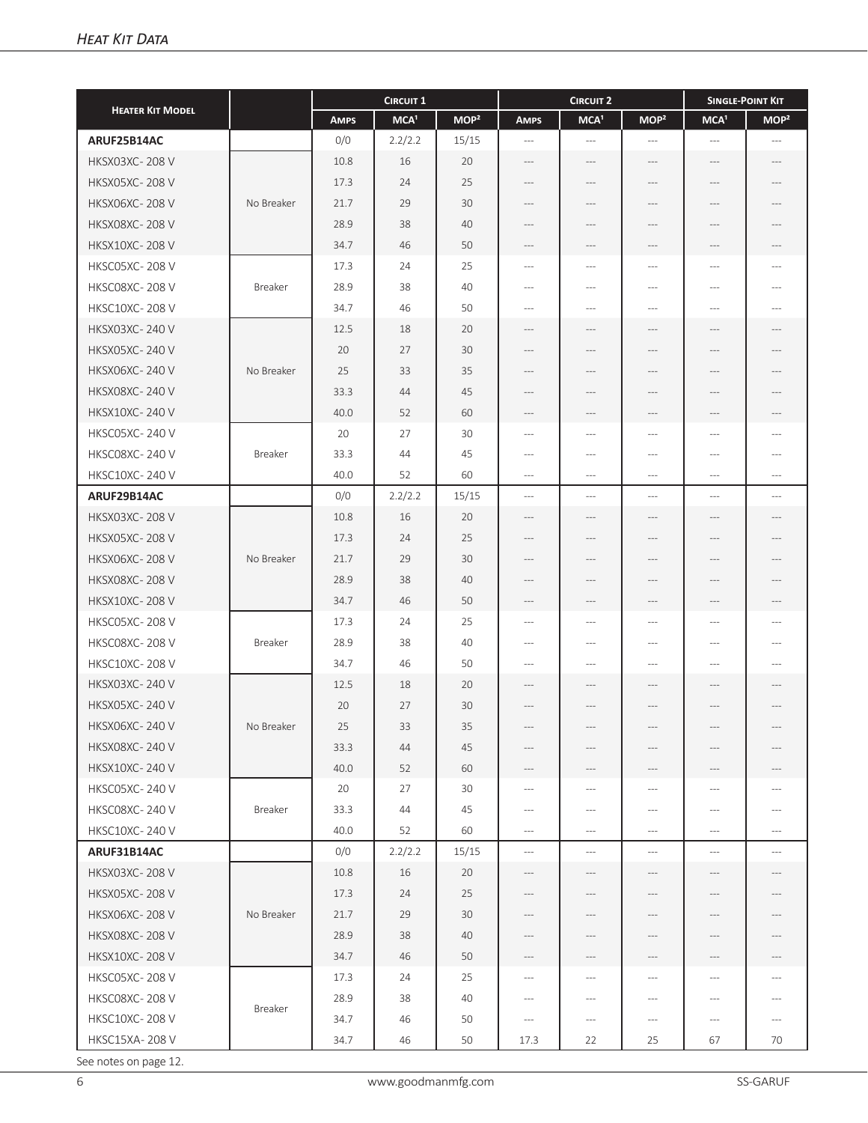| <b>HEATER KIT MODEL</b> |            | <b>CIRCUIT 1</b> |                  |                  |                                                                                                                                                                                                                   | <b>CIRCUIT 2</b>         | <b>SINGLE-POINT KIT</b>             |                          |                  |
|-------------------------|------------|------------------|------------------|------------------|-------------------------------------------------------------------------------------------------------------------------------------------------------------------------------------------------------------------|--------------------------|-------------------------------------|--------------------------|------------------|
|                         |            | <b>AMPS</b>      | MCA <sup>1</sup> | MOP <sup>2</sup> | <b>AMPS</b>                                                                                                                                                                                                       | MCA <sup>1</sup>         | MOP <sup>2</sup>                    | MCA <sup>1</sup>         | MOP <sup>2</sup> |
| ARUF25B14AC             |            | 0/0              | 2.2/2.2          | 15/15            | $\cdots$                                                                                                                                                                                                          | $\cdots$                 | $\hspace{0.05cm} \ldots$            | $\hspace{0.05cm} \ldots$ | $\cdots$         |
| <b>HKSX03XC-208V</b>    |            | 10.8             | 16               | 20               | $---$                                                                                                                                                                                                             | $---$                    | $---$                               | $---$                    | $---$            |
| <b>HKSX05XC-208V</b>    |            | 17.3             | 24               | 25               | ---                                                                                                                                                                                                               | $---$                    | $---$                               | ---                      | $---$            |
| <b>HKSX06XC-208V</b>    | No Breaker | 21.7             | 29               | 30               | $\cdots$                                                                                                                                                                                                          | $---$                    | $---$                               | ---                      | $\cdots$         |
| <b>HKSX08XC-208V</b>    |            | 28.9             | 38               | 40               | $---$                                                                                                                                                                                                             | $---$                    | ---                                 | ---                      | $---$            |
| <b>HKSX10XC-208V</b>    |            | 34.7             | 46               | 50               | $\hspace{0.05cm} \hspace{0.05cm} \hspace{0.05cm} \hspace{0.05cm} \hspace{0.05cm} \hspace{0.05cm} \hspace{0.05cm} \hspace{0.05cm} \hspace{0.05cm} \hspace{0.05cm} \hspace{0.05cm} \hspace{0.05cm} \hspace{0.05cm}$ | $---$                    | ---                                 | ---                      | ---              |
| <b>HKSC05XC-208V</b>    |            | 17.3             | 24               | 25               | $---$                                                                                                                                                                                                             | $\qquad \qquad - -$      | $---$                               | ---                      | ---              |
| HKSC08XC-208V           | Breaker    | 28.9             | 38               | 40               | $---$                                                                                                                                                                                                             | $---$                    | $---$                               | $---$                    | $---$            |
| <b>HKSC10XC-208V</b>    |            | 34.7             | 46               | 50               | $---$                                                                                                                                                                                                             | $---$                    | $\cdots$                            | $---$                    | $---$            |
| <b>HKSX03XC-240V</b>    |            | 12.5             | 18               | 20               | $---$                                                                                                                                                                                                             | $---$                    | $---$                               | $---$                    | $---$            |
| <b>HKSX05XC-240V</b>    |            | 20               | 27               | 30               |                                                                                                                                                                                                                   |                          |                                     |                          |                  |
| <b>HKSX06XC-240 V</b>   | No Breaker | 25               | 33               | 35               | ---                                                                                                                                                                                                               | $---$                    | ---                                 | ---                      | ---              |
| <b>HKSX08XC-240 V</b>   |            | 33.3             | 44               | 45               | ---                                                                                                                                                                                                               | ---                      | ---                                 | ---                      | $---$            |
| <b>HKSX10XC-240V</b>    |            | 40.0             | 52               | 60               | $-\cdots$                                                                                                                                                                                                         | $\hspace{0.05cm} ---$    | $---$                               | $-\cdots$                | $-\,--$          |
| <b>HKSC05XC-240 V</b>   |            | 20               | 27               | 30               | $---$                                                                                                                                                                                                             | $---$                    | $---$                               | ---                      | $---$            |
| HKSC08XC-240 V          | Breaker    | 33.3             | 44               | 45               | $---$                                                                                                                                                                                                             | $---$                    | $---$                               | ---                      | $---$            |
| <b>HKSC10XC-240 V</b>   |            | 40.0             | 52               | 60               | $\cdots$                                                                                                                                                                                                          | $---$                    | $---$                               | ---                      | $\cdots$         |
| ARUF29B14AC             |            | 0/0              | 2.2/2.2          | 15/15            | $---$                                                                                                                                                                                                             | $---$                    | $\cdots$ $\cdots$                   | $---$                    | $---$            |
| <b>HKSX03XC-208V</b>    |            | 10.8             | 16               | 20               | $\cdots$                                                                                                                                                                                                          | $---$                    | $---$                               | $---$                    | $-\,--$          |
| <b>HKSX05XC-208V</b>    |            | 17.3             | 24               | 25               | $---$                                                                                                                                                                                                             | $---$                    | $---$                               | ---                      | $---$            |
| <b>HKSX06XC-208V</b>    | No Breaker | 21.7             | 29               | 30               | $---$                                                                                                                                                                                                             | $---$                    | $---$                               | ---                      | $\cdots$         |
| <b>HKSX08XC-208V</b>    |            | 28.9             | 38               | 40               | $---$                                                                                                                                                                                                             | $---$                    | $---$                               | ---                      | $---$            |
| <b>HKSX10XC-208V</b>    |            | 34.7             | 46               | 50               | $\hspace{0.05cm}---\hspace{0.05cm}$                                                                                                                                                                               | $\hspace{0.05cm} ---$    | $-\,--$                             | $-\cdots$                | $-\,--$          |
| <b>HKSC05XC-208V</b>    |            | 17.3             | 24               | 25               | ---                                                                                                                                                                                                               | $---$                    | ---                                 | ---                      | ---              |
| HKSC08XC-208V           | Breaker    | 28.9             | 38               | 40               | ---                                                                                                                                                                                                               | $---$                    | ---                                 | ---                      | $---$            |
| <b>HKSC10XC-208V</b>    |            | 34.7             | 46               | 50               | $\cdots$                                                                                                                                                                                                          | $\frac{1}{2}$            | $\cdots$                            | $\overline{a}$           | $\overline{a}$   |
| <b>HKSX03XC-240V</b>    |            | 12.5             | 18               | 20               | $---$                                                                                                                                                                                                             | $---$                    | $---$                               | ---                      | $\cdots$         |
| <b>HKSX05XC-240V</b>    |            | 20               | 27               | 30               | $---$                                                                                                                                                                                                             | $---$                    | $---$                               | ---                      | $\cdots$         |
| HKSX06XC-240V           | No Breaker | 25               | 33               | 35               | ---                                                                                                                                                                                                               | $-\cdots$                | $---$                               |                          | $-\,--$          |
| <b>HKSX08XC-240 V</b>   |            | 33.3             | 44               | 45               | ---                                                                                                                                                                                                               | $-\cdots$                | $-\,--$                             | ---                      | $-\,--$          |
| <b>HKSX10XC-240 V</b>   |            | 40.0             | 52               | 60               | ---                                                                                                                                                                                                               | ---                      | ---                                 |                          |                  |
| <b>HKSC05XC-240V</b>    |            | 20               | 27               | 30               | $---$                                                                                                                                                                                                             | $---$                    | $\cdots$                            | $---$                    | $---$            |
| HKSC08XC-240V           | Breaker    | 33.3             | 44               | 45               | $---$                                                                                                                                                                                                             | $---$                    | $\cdots$                            | $---$                    | $---$            |
| <b>HKSC10XC-240 V</b>   |            | 40.0             | 52               | 60               | $\cdots$                                                                                                                                                                                                          | $-\, -\, -$              | $\cdots$ $\cdots$                   | $\cdots$                 | $\cdots$         |
| ARUF31B14AC             |            | 0/0              | 2.2/2.2          | 15/15            | $\cdots$                                                                                                                                                                                                          | $---$                    | $\hspace{0.05cm}---\hspace{0.05cm}$ | $---$                    | $---$            |
| <b>HKSX03XC-208V</b>    |            | 10.8             | 16               | 20               | ---                                                                                                                                                                                                               | $\qquad \qquad - \qquad$ | ---                                 | ---                      | ---              |
| <b>HKSX05XC-208V</b>    |            | 17.3             | 24               | 25               | ---                                                                                                                                                                                                               | $\qquad \qquad - \qquad$ | $---$                               | ---                      | ---              |
| <b>HKSX06XC-208V</b>    | No Breaker | 21.7             | 29               | 30               | $---$                                                                                                                                                                                                             | $---$                    | $---$                               | $---$                    | $---$            |
| <b>HKSX08XC-208 V</b>   |            | 28.9             | 38               | 40               | $---$                                                                                                                                                                                                             | $---$                    | $---$                               | $---$                    | $---$            |
| <b>HKSX10XC-208 V</b>   |            | 34.7             | 46               | 50               | $---$                                                                                                                                                                                                             | $---$                    | $---$                               | ---                      | $---$            |
| HKSC05XC-208V           |            | 17.3             | 24               | 25               | $---$                                                                                                                                                                                                             | $---$                    | $\cdots$                            | ---                      | $\cdots$         |
| HKSC08XC-208V           |            | 28.9             | 38               | 40               | $\cdots$                                                                                                                                                                                                          | $\cdots$                 | $---$                               | ---                      | $---$            |
| <b>HKSC10XC-208V</b>    | Breaker    | 34.7             | 46               | 50               | $\hspace{0.05cm} \ldots \hspace{0.05cm}$                                                                                                                                                                          | $-\cdots$                | $---$                               | $---$                    | $---$            |
| <b>HKSC15XA-208 V</b>   |            | 34.7             | 46               | 50               | 17.3                                                                                                                                                                                                              | 22                       | 25                                  | 67                       | 70               |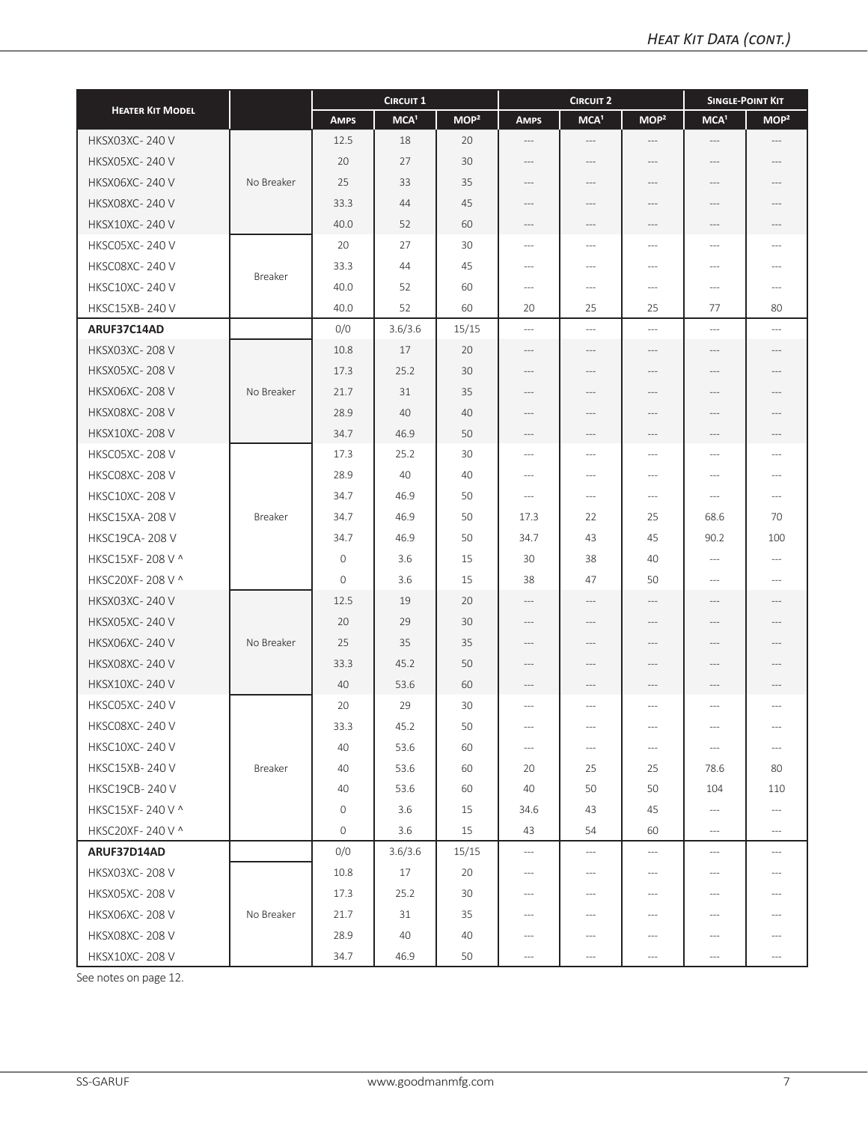|                         |            | <b>CIRCUIT 1</b> |                  |                  |                                     | <b>CIRCUIT 2</b>         |                                     | <b>SINGLE-POINT KIT</b>                                                                                                                                                                              |                                     |  |
|-------------------------|------------|------------------|------------------|------------------|-------------------------------------|--------------------------|-------------------------------------|------------------------------------------------------------------------------------------------------------------------------------------------------------------------------------------------------|-------------------------------------|--|
| <b>HEATER KIT MODEL</b> |            | <b>AMPS</b>      | MCA <sup>1</sup> | MOP <sup>2</sup> | <b>AMPS</b>                         | MCA <sup>1</sup>         | MOP <sup>2</sup>                    | MCA <sup>1</sup>                                                                                                                                                                                     | MOP <sup>2</sup>                    |  |
| <b>HKSX03XC-240V</b>    |            | 12.5             | 18               | 20               | $\cdots$                            | $-\, -\, -$              | $-\,--$                             | $-\cdots$                                                                                                                                                                                            | $\hspace{0.05cm}---\hspace{0.05cm}$ |  |
| <b>HKSX05XC-240V</b>    |            | 20               | 27               | 30               | ---                                 | $---$                    | $---$                               | $---$                                                                                                                                                                                                |                                     |  |
| <b>HKSX06XC-240 V</b>   | No Breaker | 25               | 33               | 35               | $---$                               | ---                      | $---$                               | ---                                                                                                                                                                                                  |                                     |  |
| <b>HKSX08XC-240 V</b>   |            | 33.3             | 44               | 45               | ---                                 | ---                      | ---                                 | ---                                                                                                                                                                                                  | ---                                 |  |
| <b>HKSX10XC-240 V</b>   |            | 40.0             | 52               | 60               | $-\, -\, -$                         | $-\, -\, -$              | $\cdots$                            | $-\cdots$                                                                                                                                                                                            | $-\,--$                             |  |
| <b>HKSC05XC-240 V</b>   |            | 20               | 27               | 30               | $---$                               | $---$                    | $\sim$                              | $\cdots$                                                                                                                                                                                             | ---                                 |  |
| <b>HKSC08XC-240V</b>    | Breaker    | 33.3             | 44               | 45               | $\hspace{0.05cm}---\hspace{0.05cm}$ | $---$                    | $---$                               | $\cdots$                                                                                                                                                                                             | $\overline{a}$                      |  |
| <b>HKSC10XC-240 V</b>   |            | 40.0             | 52               | 60               | $\hspace{0.05cm}---\hspace{0.05cm}$ | $---$                    | $---$                               | $\cdots$                                                                                                                                                                                             | $---$                               |  |
| <b>HKSC15XB-240 V</b>   |            | 40.0             | 52               | 60               | 20                                  | 25                       | 25                                  | 77                                                                                                                                                                                                   | 80                                  |  |
| ARUF37C14AD             |            | 0/0              | 3.6/3.6          | 15/15            | $\cdots$                            | $\qquad \qquad - -$      | $---$                               | $\ldots$                                                                                                                                                                                             | $\cdots$                            |  |
| <b>HKSX03XC-208V</b>    |            | 10.8             | 17               | 20               | $---$                               | $---$                    | $---$                               | $\cdots$                                                                                                                                                                                             | $---$                               |  |
| <b>HKSX05XC-208V</b>    |            | 17.3             | 25.2             | 30               | $---$                               | $---$                    | $---$                               | $\hspace{1.5cm} \hspace{1.5cm} \hspace{1.5cm} \hspace{1.5cm} \hspace{1.5cm} \hspace{1.5cm} \hspace{1.5cm} \hspace{1.5cm} \hspace{1.5cm} \hspace{1.5cm} \hspace{1.5cm} \hspace{1.5cm} \hspace{1.5cm}$ | $---$                               |  |
| <b>HKSX06XC-208V</b>    | No Breaker | 21.7             | 31               | 35               | $---$                               | $---$                    | $---$                               | $-\, -\, -$                                                                                                                                                                                          | $---$                               |  |
| <b>HKSX08XC-208V</b>    |            | 28.9             | 40               | 40               | $---$                               | $---$                    | ---                                 | ---                                                                                                                                                                                                  | ---                                 |  |
| <b>HKSX10XC-208V</b>    |            | 34.7             | 46.9             | 50               | $---$                               | $\overline{\phantom{a}}$ | $---$                               | ---                                                                                                                                                                                                  |                                     |  |
| <b>HKSC05XC-208V</b>    |            | 17.3             | 25.2             | 30               | $-\,--$                             | $---$                    | $---$                               | $\cdots$                                                                                                                                                                                             | $---$                               |  |
| <b>HKSC08XC-208V</b>    |            | 28.9             | 40               | 40               | $\cdots$                            | $---$                    | $\overline{a}$                      | $---$                                                                                                                                                                                                | $\cdots$                            |  |
| <b>HKSC10XC-208V</b>    |            | 34.7             | 46.9             | 50               | $\hspace{0.05cm} \ldots$            | $\cdots$                 | $\overline{a}$                      | $\hspace{0.05cm} \ldots$                                                                                                                                                                             | $\overline{a}$                      |  |
| <b>HKSC15XA-208V</b>    | Breaker    | 34.7             | 46.9             | 50               | 17.3                                | 22                       | 25                                  | 68.6                                                                                                                                                                                                 | 70                                  |  |
| HKSC19CA-208V           |            | 34.7             | 46.9             | 50               | 34.7                                | 43                       | 45                                  | 90.2                                                                                                                                                                                                 | 100                                 |  |
| HKSC15XF-208 V ^        |            | $\mathbf{O}$     | 3.6              | 15               | 30                                  | 38                       | 40                                  | $-\cdots$                                                                                                                                                                                            | $\hspace{0.05cm} \ldots$            |  |
| HKSC20XF-208 V ^        |            | $\mathbf{O}$     | 3.6              | 15               | 38                                  | 47                       | 50                                  | $-\cdots$                                                                                                                                                                                            | $---$                               |  |
| <b>HKSX03XC-240 V</b>   |            | 12.5             | 19               | 20               | $---$                               | $-\, -\, -$              | $---$                               | $-\, -\, -$                                                                                                                                                                                          | $---$                               |  |
| <b>HKSX05XC-240 V</b>   |            | 20               | 29               | 30               | $---$                               | $---$                    | $---$                               | $\qquad \qquad -$                                                                                                                                                                                    | $---$                               |  |
| <b>HKSX06XC-240 V</b>   | No Breaker | 25               | 35               | 35               | $---$                               | $---$                    | $---$                               | $\hspace{1.5cm} \hspace{1.5cm} \hspace{1.5cm} \hspace{1.5cm} \hspace{1.5cm} \hspace{1.5cm} \hspace{1.5cm} \hspace{1.5cm} \hspace{1.5cm} \hspace{1.5cm} \hspace{1.5cm} \hspace{1.5cm} \hspace{1.5cm}$ | $---$                               |  |
| <b>HKSX08XC-240V</b>    |            | 33.3             | 45.2             | 50               | $---$                               | ---                      | $---$                               |                                                                                                                                                                                                      |                                     |  |
| <b>HKSX10XC-240 V</b>   |            | 40               | 53.6             | 60               | $-\,--$                             | $---$                    | $---$                               | $-\cdots$                                                                                                                                                                                            | ---                                 |  |
| <b>HKSC05XC-240V</b>    |            | 20               | 29               | 30               | $---$                               | $---$                    | $---$                               | $\cdots$                                                                                                                                                                                             | $\qquad \qquad - -$                 |  |
| HKSC08XC-240 V          |            | 33.3             | 45.2             | 50               | $-\cdots$                           | $-\cdots$                | $---$                               | ---                                                                                                                                                                                                  | $-\, -\, -$                         |  |
| <b>HKSC10XC-240V</b>    |            | 40               | 53.6             | 60               | $\hspace{0.05cm} \ldots$            | $\hspace{0.05cm} \ldots$ | $\cdots$                            | $\cdots$                                                                                                                                                                                             | $\hspace{0.05cm} \ldots$            |  |
| <b>HKSC15XB-240 V</b>   | Breaker    | 40               | 53.6             | 60               | 20                                  | 25                       | 25                                  | 78.6                                                                                                                                                                                                 | 80                                  |  |
| <b>HKSC19CB-240 V</b>   |            | 40               | 53.6             | 60               | 40                                  | 50                       | 50                                  | 104                                                                                                                                                                                                  | 110                                 |  |
| HKSC15XF-240 V ^        |            | $\circ$          | 3.6              | 15               | 34.6                                | 43                       | 45                                  | $\hspace{0.05cm} \cdots$                                                                                                                                                                             | $-\,--$                             |  |
| HKSC20XF-240 V ^        |            | 0                | 3.6              | 15               | 43                                  | 54                       | 60                                  | $\hspace{0.05cm} \ldots$                                                                                                                                                                             | $-\,--$                             |  |
| ARUF37D14AD             |            | 0/0              | 3.6/3.6          | 15/15            | $-\,--$                             | $-\cdots$                | $\hspace{0.05cm}---\hspace{0.05cm}$ | $-\cdots$                                                                                                                                                                                            | $\cdots$                            |  |
| <b>HKSX03XC-208V</b>    |            | 10.8             | 17               | 20               | $---$                               | $-\, -\, -$              | $---$                               | $-\cdots$                                                                                                                                                                                            | $\hspace{0.05cm}---\hspace{0.05cm}$ |  |
| <b>HKSX05XC-208V</b>    |            | 17.3             | 25.2             | 30               | $\cdots$                            | $-\, -\, -$              | $\cdots$                            | $-\cdots$                                                                                                                                                                                            | $\cdots$                            |  |
| <b>HKSX06XC-208V</b>    | No Breaker | 21.7             | 31               | 35               | $\cdots$                            | $\cdots$                 | $---$                               | $\cdots$                                                                                                                                                                                             | $\cdots$                            |  |
| <b>HKSX08XC-208V</b>    |            | 28.9             | 40               | 40               | $---$                               | ---                      | ---                                 | $\cdots$                                                                                                                                                                                             |                                     |  |
| <b>HKSX10XC-208V</b>    |            | 34.7             | 46.9             | 50               | $\hspace{0.05cm} \ldots$            | $---$                    | $\qquad \qquad - -$                 | $\hspace{0.05cm} \cdots$                                                                                                                                                                             | $\cdots$                            |  |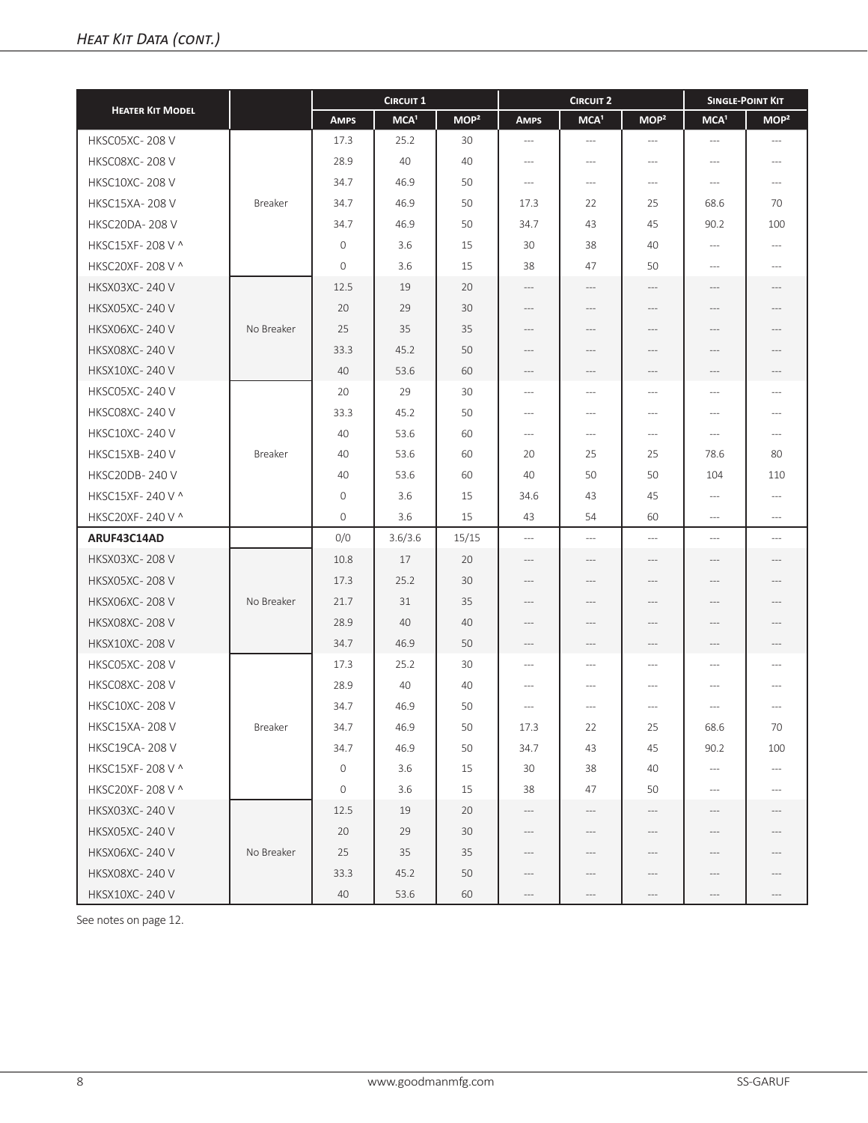|                         |            |              | <b>CIRCUIT 1</b> |                  |                                | <b>CIRCUIT 2</b>                                                                                                                                                                                                  |                  | <b>SINGLE-POINT KIT</b>                                                                                                                                                                              |                                                                                                                                                                                                      |
|-------------------------|------------|--------------|------------------|------------------|--------------------------------|-------------------------------------------------------------------------------------------------------------------------------------------------------------------------------------------------------------------|------------------|------------------------------------------------------------------------------------------------------------------------------------------------------------------------------------------------------|------------------------------------------------------------------------------------------------------------------------------------------------------------------------------------------------------|
| <b>HEATER KIT MODEL</b> |            | <b>AMPS</b>  | MCA <sup>1</sup> | MOP <sup>2</sup> | <b>AMPS</b>                    | MCA <sup>1</sup>                                                                                                                                                                                                  | MOP <sup>2</sup> | MCA <sup>1</sup>                                                                                                                                                                                     | MOP <sup>2</sup>                                                                                                                                                                                     |
| HKSC05XC-208 V          |            | 17.3         | 25.2             | 30               | $---$                          | $---$                                                                                                                                                                                                             | $---$            | $\cdots$                                                                                                                                                                                             | $---$                                                                                                                                                                                                |
| <b>HKSC08XC-208V</b>    |            | 28.9         | 40               | 40               | $---$                          | $---$                                                                                                                                                                                                             | $---$            | $---$                                                                                                                                                                                                | $---$                                                                                                                                                                                                |
| <b>HKSC10XC-208V</b>    |            | 34.7         | 46.9             | 50               | $\hspace{0.05cm} \ldots$       | $\cdots$                                                                                                                                                                                                          | $---$            | $\cdots$                                                                                                                                                                                             | $-\,--$                                                                                                                                                                                              |
| <b>HKSC15XA-208V</b>    | Breaker    | 34.7         | 46.9             | 50               | 17.3                           | 22                                                                                                                                                                                                                | 25               | 68.6                                                                                                                                                                                                 | 70                                                                                                                                                                                                   |
| <b>HKSC20DA-208V</b>    |            | 34.7         | 46.9             | 50               | 34.7                           | 43                                                                                                                                                                                                                | 45               | 90.2                                                                                                                                                                                                 | 100                                                                                                                                                                                                  |
| HKSC15XF-208 V ^        |            | $\mathbf{0}$ | 3.6              | 15               | 30                             | 38                                                                                                                                                                                                                | 40               | $\cdots$                                                                                                                                                                                             | $---$                                                                                                                                                                                                |
| HKSC20XF-208 V ^        |            | $\mathbf{0}$ | 3.6              | 15               | 38                             | 47                                                                                                                                                                                                                | 50               | $---$                                                                                                                                                                                                | $---$                                                                                                                                                                                                |
| <b>HKSX03XC-240V</b>    |            | 12.5         | 19               | 20               | $---$                          | $\cdots$                                                                                                                                                                                                          | $---$            | $---$                                                                                                                                                                                                | $---$                                                                                                                                                                                                |
| <b>HKSX05XC-240V</b>    |            | 20           | 29               | 30               | $---$                          | $\hspace{0.05cm}---\hspace{0.05cm}$                                                                                                                                                                               | $\cdots$         | $---$                                                                                                                                                                                                | $\cdots$                                                                                                                                                                                             |
| <b>HKSX06XC-240 V</b>   | No Breaker | 25           | 35               | 35               | $---$                          | $---$                                                                                                                                                                                                             | $---$            | $\cdots$                                                                                                                                                                                             | $\cdots$                                                                                                                                                                                             |
| <b>HKSX08XC-240 V</b>   |            | 33.3         | 45.2             | 50               | $---$                          | ---                                                                                                                                                                                                               | ---              |                                                                                                                                                                                                      | ---                                                                                                                                                                                                  |
| <b>HKSX10XC-240 V</b>   |            | 40           | 53.6             | 60               | $\hspace{0.05cm} \textbf{---}$ | ---                                                                                                                                                                                                               | ---              | ---                                                                                                                                                                                                  | ---                                                                                                                                                                                                  |
| <b>HKSC05XC-240 V</b>   |            | 20           | 29               | 30               | $---$                          | $---$                                                                                                                                                                                                             | ---              | $---$                                                                                                                                                                                                | $---$                                                                                                                                                                                                |
| <b>HKSC08XC-240V</b>    |            | 33.3         | 45.2             | 50               | $---$                          | $---$                                                                                                                                                                                                             | $---$            | $\cdots$                                                                                                                                                                                             | $---$                                                                                                                                                                                                |
| <b>HKSC10XC-240 V</b>   |            | 40           | 53.6             | 60               | $\hspace{0.05cm} \ldots$       | $\cdots$                                                                                                                                                                                                          | $\cdots$         | $\hspace{0.05cm} -\hspace{0.05cm} -\hspace{0.05cm}$                                                                                                                                                  | $---$                                                                                                                                                                                                |
| <b>HKSC15XB-240 V</b>   | Breaker    | 40           | 53.6             | 60               | 20                             | 25                                                                                                                                                                                                                | 25               | 78.6                                                                                                                                                                                                 | 80                                                                                                                                                                                                   |
| <b>HKSC20DB-240V</b>    |            | 40           | 53.6             | 60               | 40                             | 50                                                                                                                                                                                                                | 50               | 104                                                                                                                                                                                                  | 110                                                                                                                                                                                                  |
| HKSC15XF-240 V ^        |            | $\mathbf{0}$ | 3.6              | 15               | 34.6                           | 43                                                                                                                                                                                                                | 45               | $-\cdots$                                                                                                                                                                                            | $\cdots$                                                                                                                                                                                             |
| HKSC20XF-240 V ^        |            | $\mathbf{0}$ | 3.6              | 15               | 43                             | 54                                                                                                                                                                                                                | 60               | $\cdots$                                                                                                                                                                                             | $---$                                                                                                                                                                                                |
| ARUF43C14AD             |            | 0/0          | 3.6/3.6          | 15/15            | $---$                          | $---$                                                                                                                                                                                                             | $\cdots$         | $\cdots$                                                                                                                                                                                             | $\cdots$                                                                                                                                                                                             |
| <b>HKSX03XC-208V</b>    |            | 10.8         | 17               | 20               | $---$                          | $---$                                                                                                                                                                                                             | $---$            | $---$                                                                                                                                                                                                | $---$                                                                                                                                                                                                |
| <b>HKSX05XC-208V</b>    |            | 17.3         | 25.2             | 30               | $---$                          | ---                                                                                                                                                                                                               | $---$            | $---$                                                                                                                                                                                                | $---$                                                                                                                                                                                                |
| <b>HKSX06XC-208V</b>    | No Breaker | 21.7         | 31               | 35               | $---$                          | $---$                                                                                                                                                                                                             | ---              | $\hspace{1.5cm} \hspace{1.5cm} \hspace{1.5cm} \hspace{1.5cm} \hspace{1.5cm} \hspace{1.5cm} \hspace{1.5cm} \hspace{1.5cm} \hspace{1.5cm} \hspace{1.5cm} \hspace{1.5cm} \hspace{1.5cm} \hspace{1.5cm}$ | $---$                                                                                                                                                                                                |
| <b>HKSX08XC-208V</b>    |            | 28.9         | 40               | 40               | $---$                          | $\cdots$                                                                                                                                                                                                          | $---$            | $---$                                                                                                                                                                                                | $\cdots$                                                                                                                                                                                             |
| <b>HKSX10XC-208V</b>    |            | 34.7         | 46.9             | 50               | $-\cdots$                      | $-\cdots$                                                                                                                                                                                                         | $---$            | $-\cdots$                                                                                                                                                                                            | $-\,--$                                                                                                                                                                                              |
| HKSC05XC-208 V          |            | 17.3         | 25.2             | 30               | $\cdots$                       | $---$                                                                                                                                                                                                             | $---$            | $\cdots$                                                                                                                                                                                             | $---$                                                                                                                                                                                                |
| <b>HKSC08XC-208V</b>    |            | 28.9         | 40               | 40               | $---$                          | $---$                                                                                                                                                                                                             | ---              | ---                                                                                                                                                                                                  | $---$                                                                                                                                                                                                |
| <b>HKSC10XC-208V</b>    |            | 34.7         | 46.9             | 50               | $---$                          | $---$                                                                                                                                                                                                             | $---$            | $\cdots$                                                                                                                                                                                             | $---$                                                                                                                                                                                                |
| HKSC15XA-208 V          | Breaker    | 34.7         | 46.9             | 50               | 17.3                           | 22                                                                                                                                                                                                                | 25               | 68.6                                                                                                                                                                                                 | 70                                                                                                                                                                                                   |
| <b>HKSC19CA-208 V</b>   |            | 34.7         | 46.9             | 50               | 34.7                           | 43                                                                                                                                                                                                                | 45               | 90.2                                                                                                                                                                                                 | 100                                                                                                                                                                                                  |
| HKSC15XF-208 V ^        |            | $\mathbf 0$  | 3.6              | 15               | 30                             | 38                                                                                                                                                                                                                | 40               | $-\cdots$                                                                                                                                                                                            | $\cdots$                                                                                                                                                                                             |
| HKSC20XF-208 V ^        |            | $\circ$      | 3.6              | 15               | 38                             | 47                                                                                                                                                                                                                | 50               | $\cdots$                                                                                                                                                                                             | $\hspace{0.05cm}---\hspace{0.05cm}$                                                                                                                                                                  |
| <b>HKSX03XC-240V</b>    |            | 12.5         | 19               | 20               | $-\, -\, -$                    | $\hspace{0.05cm} \hspace{0.05cm} \hspace{0.05cm} \hspace{0.05cm} \hspace{0.05cm} \hspace{0.05cm} \hspace{0.05cm} \hspace{0.05cm} \hspace{0.05cm} \hspace{0.05cm} \hspace{0.05cm} \hspace{0.05cm} \hspace{0.05cm}$ | ---              | $-\cdots$                                                                                                                                                                                            | $-\, -\, -$                                                                                                                                                                                          |
| <b>HKSX05XC-240 V</b>   |            | 20           | 29               | 30               | $---$                          | $-\cdots$                                                                                                                                                                                                         | ---              | $-\cdots$                                                                                                                                                                                            | $---$                                                                                                                                                                                                |
| <b>HKSX06XC-240 V</b>   | No Breaker | 25           | 35               | 35               | $---$                          | $\cdots$                                                                                                                                                                                                          | $-\,--$          | $-\, -\, -$                                                                                                                                                                                          | $\hspace{1.5cm} \hspace{1.5cm} \hspace{1.5cm} \hspace{1.5cm} \hspace{1.5cm} \hspace{1.5cm} \hspace{1.5cm} \hspace{1.5cm} \hspace{1.5cm} \hspace{1.5cm} \hspace{1.5cm} \hspace{1.5cm} \hspace{1.5cm}$ |
| <b>HKSX08XC-240V</b>    |            | 33.3         | 45.2             | 50               | $-\,--$                        | $\cdots$                                                                                                                                                                                                          | $-\,--$          | $-\cdots$                                                                                                                                                                                            | $-\,--$                                                                                                                                                                                              |
| <b>HKSX10XC-240V</b>    |            | 40           | 53.6             | 60               | $-\cdots$                      | $\cdots$                                                                                                                                                                                                          | $-\,--$          | $-\cdots$                                                                                                                                                                                            | $\hspace{0.05cm} \ldots$                                                                                                                                                                             |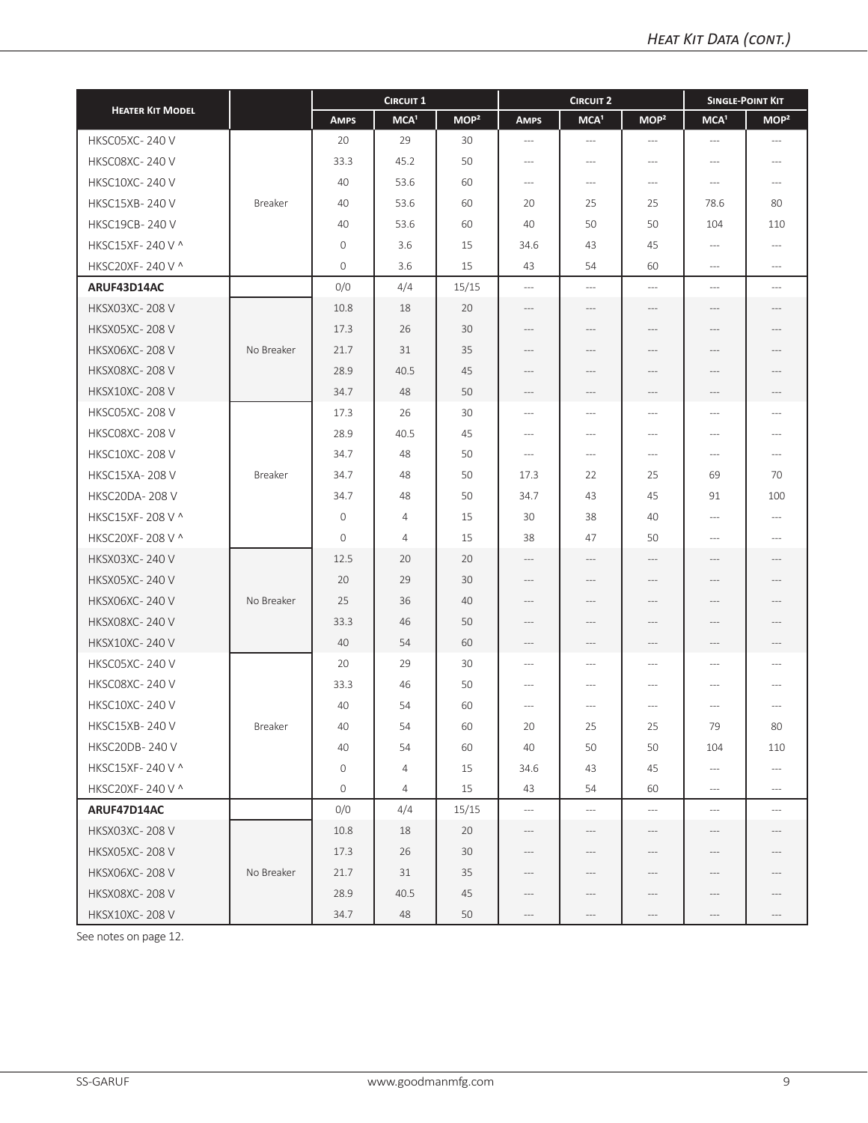|                         |            |                     | <b>CIRCUIT 1</b> |                  |                                     | <b>CIRCUIT 2</b> |                                     | <b>SINGLE-POINT KIT</b>  |                                     |
|-------------------------|------------|---------------------|------------------|------------------|-------------------------------------|------------------|-------------------------------------|--------------------------|-------------------------------------|
| <b>HEATER KIT MODEL</b> |            | <b>AMPS</b>         | MCA <sup>1</sup> | MOP <sup>2</sup> | <b>AMPS</b>                         | MCA <sup>1</sup> | MOP <sup>2</sup>                    | MCA <sup>1</sup>         | MOP <sup>2</sup>                    |
| <b>HKSC05XC-240V</b>    |            | 20                  | 29               | 30               | $-\,--$                             | $-\cdots$        | $---$                               | $\cdots$                 | $---$                               |
| <b>HKSC08XC-240 V</b>   |            | 33.3                | 45.2             | 50               | $---$                               | $---$            | $---$                               | $\cdots$                 | $---$                               |
| <b>HKSC10XC-240 V</b>   |            | 40                  | 53.6             | 60               | $-\,--$                             | $--$             | ---                                 | $-\cdots$                | $---$                               |
| <b>HKSC15XB-240 V</b>   | Breaker    | 40                  | 53.6             | 60               | 20                                  | 25               | 25                                  | 78.6                     | 80                                  |
| <b>HKSC19CB-240V</b>    |            | 40                  | 53.6             | 60               | 40                                  | 50               | 50                                  | 104                      | 110                                 |
| HKSC15XF-240 V ^        |            | $\mathsf{O}\xspace$ | 3.6              | 15               | 34.6                                | 43               | 45                                  | $-\cdots$                | $---$                               |
| HKSC20XF-240 V ^        |            | $\mathbf{0}$        | 3.6              | 15               | 43                                  | 54               | 60                                  | $\hspace{0.05cm} \ldots$ | $---$                               |
| ARUF43D14AC             |            | 0/0                 | 4/4              | 15/15            | $\hspace{0.05cm} \ldots$            | $---$            | $---$                               | $\cdots$                 | $\cdots$                            |
| <b>HKSX03XC-208V</b>    |            | 10.8                | 18               | 20               | $---$                               | $---$            | $---$                               | $-\cdots$                | $\cdots$                            |
| <b>HKSX05XC-208V</b>    |            | 17.3                | 26               | 30               | $---$                               | ---              | $---$                               | $-\cdots$                | ---                                 |
| <b>HKSX06XC-208V</b>    | No Breaker | 21.7                | 31               | 35               | $\cdots$                            | ---              | $---$                               | ---                      | ---                                 |
| <b>HKSX08XC-208V</b>    |            | 28.9                | 40.5             | 45               | $---$                               | ---              | ---                                 | $---$                    | $---$                               |
| <b>HKSX10XC-208V</b>    |            | 34.7                | 48               | 50               | $-\cdots$                           | ---              | ---                                 | ---                      |                                     |
| <b>HKSC05XC-208V</b>    |            | 17.3                | 26               | 30               | $---$                               | $---$            | $---$                               | $\cdots$                 | $---$                               |
| <b>HKSC08XC-208V</b>    |            | 28.9                | 40.5             | 45               | $---$                               | ---              | ---                                 | $\cdots$                 | $---$                               |
| <b>HKSC10XC-208V</b>    |            | 34.7                | 48               | 50               | $\hspace{0.05cm}---\hspace{0.05cm}$ | $--$             | $---$                               | $\cdots$                 | $\hspace{0.05cm}---\hspace{0.05cm}$ |
| <b>HKSC15XA-208V</b>    | Breaker    | 34.7                | 48               | 50               | 17.3                                | 22               | 25                                  | 69                       | 70                                  |
| <b>HKSC20DA-208V</b>    |            | 34.7                | 48               | 50               | 34.7                                | 43               | 45                                  | 91                       | 100                                 |
| HKSC15XF-208 V ^        |            | $\circ$             | $\overline{4}$   | 15               | 30                                  | 38               | 40                                  | $\hspace{0.05cm} \ldots$ | $---$                               |
| HKSC20XF-208 V ^        |            | $\mathbf{0}$        | $\overline{4}$   | 15               | 38                                  | 47               | 50                                  | $---$                    | $---$                               |
| <b>HKSX03XC-240 V</b>   |            | 12.5                | 20               | 20               | $---$                               | $-\, -\, -$      | $\cdots$                            | $-\cdots$                | $\cdots$                            |
| <b>HKSX05XC-240 V</b>   |            | 20                  | 29               | 30               | $---$                               | $---$            | $---$                               | $---$                    | $---$                               |
| <b>HKSX06XC-240 V</b>   | No Breaker | 25                  | 36               | 40               | $\cdots$                            | ---              | $---$                               | $---$                    | ---                                 |
| <b>HKSX08XC-240 V</b>   |            | 33.3                | 46               | 50               | $---$                               | ---              | $---$                               | $---$                    | $---$                               |
| <b>HKSX10XC-240 V</b>   |            | 40                  | 54               | 60               | $-\cdots$                           | ---              | $\hspace{0.05cm}---\hspace{0.05cm}$ | $-\cdots$                | $-\,--$                             |
| HKSC05XC-240V           |            | 20                  | 29               | 30               | $---$                               | $---$            | $---$                               | $\cdots$                 | $---$                               |
| HKSC08XC-240V           |            | 33.3                | 46               | 50               | $\cdots$                            | $---$            | $---$                               | $\cdots$                 |                                     |
| <b>HKSC10XC-240V</b>    |            | 40                  | 54               | 60               | $\cdots$                            | ---              | ---                                 | $\cdots$                 | $---$                               |
| HKSC15XB-240V           | Breaker    | 40                  | 54               | 60               | 20                                  | 25               | 25                                  | 79                       | 80                                  |
| <b>HKSC20DB-240 V</b>   |            | 40                  | 54               | 60               | 40                                  | 50               | 50                                  | 104                      | 110                                 |
| HKSC15XF-240 V ^        |            | $\mathsf{O}\xspace$ | 4                | 15               | 34.6                                | 43               | 45                                  | $\hspace{0.05cm} \cdots$ | $\hspace{0.05cm} \ldots$            |
| HKSC20XF-240 V ^        |            | $\mathbf 0$         | $\overline{4}$   | 15               | 43                                  | 54               | 60                                  | $\hspace{0.05cm} \ldots$ | $\cdots$                            |
| ARUF47D14AC             |            | 0/0                 | 4/4              | 15/15            | $\hspace{0.05cm}---\hspace{0.05cm}$ | $-\, -\, -$      | $\cdots$                            | $\hspace{0.05cm} \ldots$ | $\cdots$                            |
| <b>HKSX03XC-208V</b>    |            | 10.8                | 18               | 20               | $---$                               | $---$            | $\cdots$                            | $-\, -\, -$              | $---$                               |
| <b>HKSX05XC-208V</b>    |            | 17.3                | 26               | 30               | ---                                 |                  |                                     | $---$                    |                                     |
| <b>HKSX06XC-208V</b>    | No Breaker | 21.7                | 31               | 35               | $\cdots$                            | ---              | ---                                 | $---$                    |                                     |
| <b>HKSX08XC-208 V</b>   |            | 28.9                | 40.5             | 45               | $---$                               | $---$            | $---$                               | $---$                    |                                     |
| <b>HKSX10XC-208V</b>    |            | 34.7                | 48               | 50               | $---$                               | ---              | $\cdots$                            | $-\cdots$                | $\qquad \qquad - -$                 |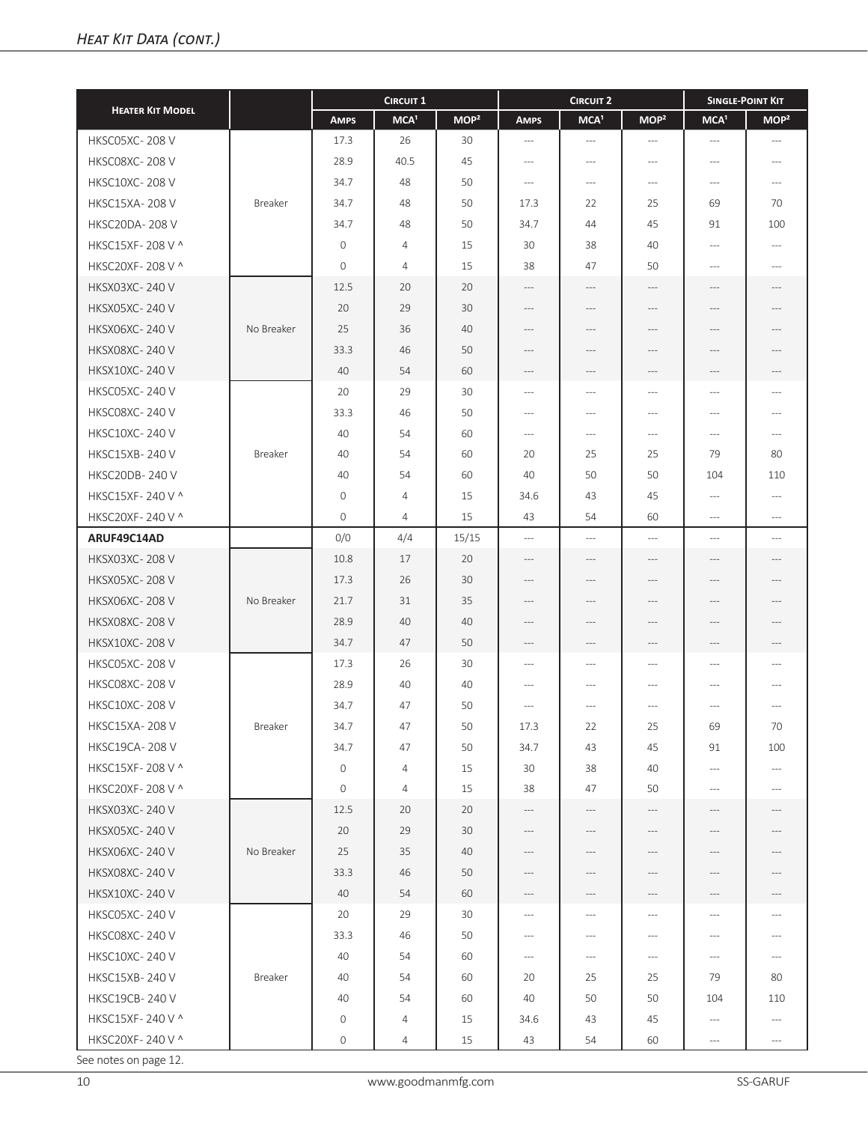| <b>HEATER KIT MODEL</b> |            | <b>CIRCUIT 1</b> |                  |                  |                      | <b>CIRCUIT 2</b>                                                     | <b>SINGLE-POINT KIT</b> |                     |                                     |
|-------------------------|------------|------------------|------------------|------------------|----------------------|----------------------------------------------------------------------|-------------------------|---------------------|-------------------------------------|
|                         |            | <b>AMPS</b>      | MCA <sup>1</sup> | MOP <sup>2</sup> | <b>AMPS</b>          | MCA <sup>1</sup>                                                     | MOP <sup>2</sup>        | MCA <sup>1</sup>    | MOP <sup>2</sup>                    |
| <b>HKSC05XC-208V</b>    |            | 17.3             | 26               | 30               | $---$                | $---$                                                                | $---$                   | $---$               | $---$                               |
| <b>HKSC08XC-208V</b>    |            | 28.9             | 40.5             | 45               | $---$                | $---$                                                                | $\cdots$                | $---$               | $---$                               |
| <b>HKSC10XC-208V</b>    |            | 34.7             | 48               | 50               | $\cdots$             | $---$                                                                | $---$                   | $---$               | $---$                               |
| <b>HKSC15XA-208V</b>    | Breaker    | 34.7             | 48               | 50               | 17.3                 | 22                                                                   | 25                      | 69                  | 70                                  |
| <b>HKSC20DA-208V</b>    |            | 34.7             | 48               | 50               | 34.7                 | 44                                                                   | 45                      | 91                  | 100                                 |
| HKSC15XF-208 V ^        |            | $\mathbf 0$      | $\overline{4}$   | 15               | 30                   | 38                                                                   | 40                      | ---                 | $---$                               |
| HKSC20XF-208 V ^        |            | $\mathbf{O}$     | 4                | 15               | 38                   | 47                                                                   | 50                      | $---$               | $---$                               |
| <b>HKSX03XC-240 V</b>   |            | 12.5             | 20               | 20               | $---$                | $---$                                                                | $-\,--$                 | ---                 | $---$                               |
| <b>HKSX05XC-240 V</b>   |            | 20               | 29               | 30               | $\cdots$             | $---$                                                                | $---$                   | ---                 | $---$                               |
| <b>HKSX06XC-240 V</b>   | No Breaker | 25               | 36               | 40               | $---$                | $---$                                                                | $---$                   | ---                 | $---$                               |
| <b>HKSX08XC-240 V</b>   |            | 33.3             | 46               | 50               | ---                  | ---                                                                  | ---                     | ---                 | $---$                               |
| <b>HKSX10XC-240 V</b>   |            | 40               | 54               | 60               | ---                  | $---$                                                                | ---                     | ---                 | ---                                 |
| <b>HKSC05XC-240V</b>    |            | 20               | 29               | 30               | $---$                | $---$                                                                | $---$                   | ---                 | $---$                               |
| <b>HKSC08XC-240 V</b>   |            | 33.3             | 46               | 50               | $---$                | $---$                                                                | $\cdots$                | $---$               | $---$                               |
| <b>HKSC10XC-240 V</b>   |            | 40               | 54               | 60               | $---$                | $\cdots$                                                             | $\cdots$ $\cdots$       | $---$               | $\hspace{0.05cm}---\hspace{0.05cm}$ |
| <b>HKSC15XB-240 V</b>   | Breaker    | 40               | 54               | 60               | 20                   | 25                                                                   | 25                      | 79                  | 80                                  |
| <b>HKSC20DB-240V</b>    |            | 40               | 54               | 60               | 40                   | 50                                                                   | 50                      | 104                 | 110                                 |
| HKSC15XF-240 V ^        |            | $\mathbf 0$      | 4                | 15               | 34.6                 | 43                                                                   | 45                      | $\cdots$            | $\hspace{0.05cm}---\hspace{0.05cm}$ |
| HKSC20XF-240 V ^        |            | $\mathbf{0}$     | $\overline{4}$   | 15               | 43                   | 54                                                                   | 60                      | ---                 | $---$                               |
| ARUF49C14AD             |            | 0/0              | 4/4              | 15/15            | $\overline{a}$       | $---$                                                                | $\cdots$                | $\overline{a}$      | $---$                               |
| <b>HKSX03XC-208V</b>    |            | 10.8             | 17               | 20               | $\cdots$             | $---$                                                                | $---$                   | ---                 | $\cdots$                            |
| <b>HKSX05XC-208V</b>    |            | 17.3             | 26               | 30               | $---$                | $---$                                                                | $---$                   | ---                 | $---$                               |
| <b>HKSX06XC-208V</b>    | No Breaker | 21.7             | 31               | 35               | ---                  | ---                                                                  | ---                     | ---                 | $---$                               |
| <b>HKSX08XC-208V</b>    |            | 28.9             | 40               | 40               | $---$                | $---$                                                                | $---$                   | $---$               | $---$                               |
| <b>HKSX10XC-208V</b>    |            | 34.7             | 47               | 50               | $-\, -\, -$          | $\hspace{0.05cm} ---$                                                | $-\,--$                 | ---                 | $-\,--$                             |
| <b>HKSC05XC-208V</b>    |            | 17.3             | 26               | 30               | $---$                | $---$                                                                | $\cdots$                | $---$               | $---$                               |
| HKSC08XC-208V           |            | 28.9             | 40               | 40               | $---$                | $---$                                                                | $---$                   | ---                 | $\cdots$                            |
| <b>HKSC10XC-208V</b>    |            | 34.7             | 47               | 50               | $---$                | $---$                                                                | $---$                   | $---$               | $---$                               |
| <b>HKSC15XA-208V</b>    | Breaker    | 34.7             | 47               | 50               | 17.3                 | 22                                                                   | 25                      | 69                  | 70                                  |
| <b>HKSC19CA-208 V</b>   |            | 34.7             | 47               | 50               | 34.7                 | 43                                                                   | 45                      | 91                  | 100                                 |
| HKSC15XF-208 V ^        |            | $\circ$          | $\overline{4}$   | 15               | 30                   | 38                                                                   | 40                      | $\cdots$            | $\cdots$                            |
| HKSC20XF-208 V ^        |            | $\circ$          | 4                | 15               | 38                   | 47                                                                   | 50                      | $---$               | $\cdots$                            |
| <b>HKSX03XC-240V</b>    |            | 12.5             | 20               | 20               | $\hspace{0.05cm}---$ | $-\cdots$                                                            | $-\,--$                 | $-\cdots$           | $\hspace{0.05cm}---$                |
| <b>HKSX05XC-240V</b>    |            | 20               | 29               | 30               | $---$                | $-\, -\, -$                                                          | $-\,--$                 | $\qquad \qquad - -$ | $-\,--$                             |
| <b>HKSX06XC-240 V</b>   | No Breaker | 25               | 35               | 40               | ---                  | $---$                                                                | ---                     |                     | ---                                 |
| <b>HKSX08XC-240 V</b>   |            | 33.3             | 46               | 50               | $\cdots$             | $\hspace{0.05cm} -\hspace{0.05cm} -\hspace{0.05cm} -\hspace{0.05cm}$ | $---$                   | ---                 | ---                                 |
| <b>HKSX10XC-240 V</b>   |            | 40               | 54               | 60               | ---                  | ---                                                                  | ---                     | ---                 |                                     |
| <b>HKSC05XC-240V</b>    |            | 20               | 29               | 30               | $\cdots$             | $---$                                                                | $---$                   | $---$               | $---$                               |
| HKSC08XC-240V           |            | 33.3             | 46               | 50               | $---$                | $---$                                                                | $---$                   | ---                 | $\cdots$                            |
| <b>HKSC10XC-240V</b>    |            | 40               | 54               | 60               | $-\,--$              | $-\, -\, -$                                                          | $\cdots$ $\cdots$       | $  -$               | $\cdots$                            |
| HKSC15XB-240 V          | Breaker    | 40               | 54               | 60               | 20                   | 25                                                                   | 25                      | 79                  | 80                                  |
| <b>HKSC19CB-240V</b>    |            | 40               | 54               | 60               | 40                   | 50                                                                   | 50                      | 104                 | 110                                 |
| HKSC15XF-240 V ^        |            | 0                | 4                | 15               | 34.6                 | 43                                                                   | 45                      | ---                 | $\cdots$                            |
| HKSC20XF-240 V ^        |            | 0                | 4                | 15               | 43                   | 54                                                                   | 60                      | $\cdots$            | $\cdots$                            |
|                         |            |                  |                  |                  |                      |                                                                      |                         |                     |                                     |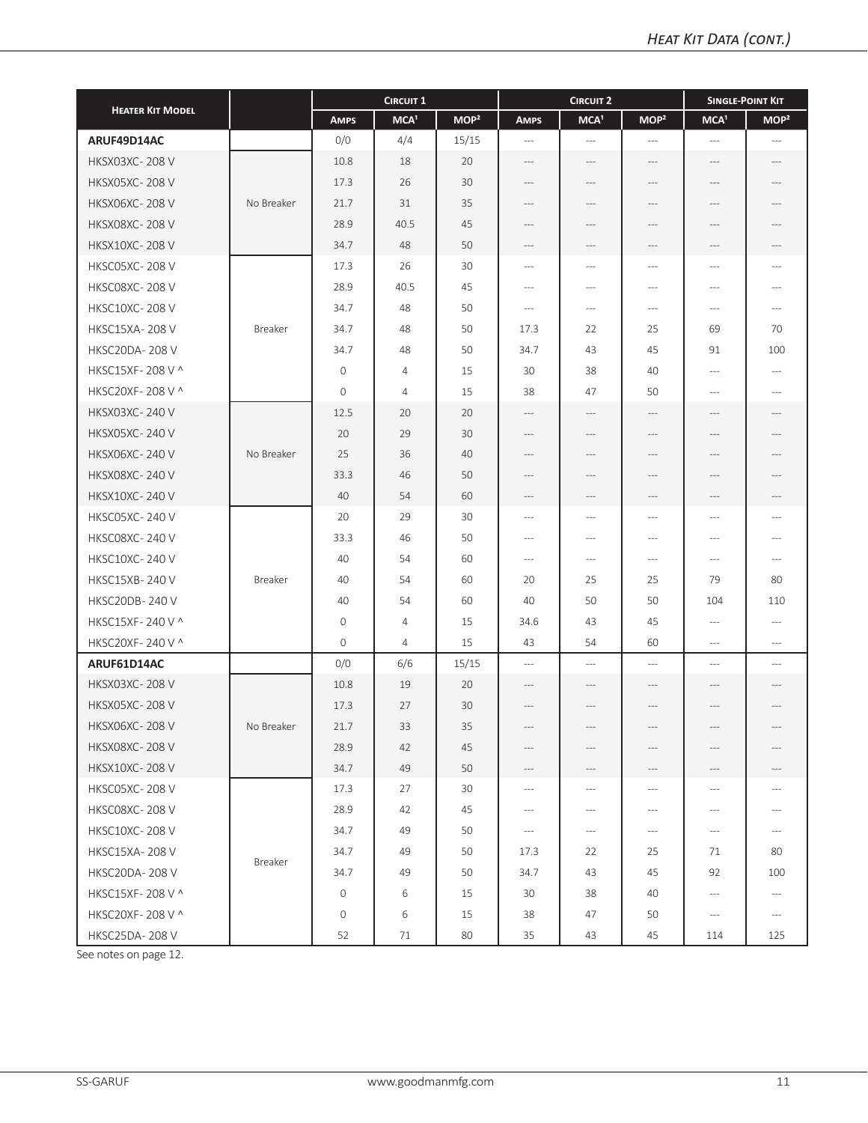|                         |                |              | <b>CIRCUIT 1</b> |                  |                          | <b>CIRCUIT 2</b>     |                          | <b>SINGLE-POINT KIT</b>                                                                                                                                                                              |                                     |
|-------------------------|----------------|--------------|------------------|------------------|--------------------------|----------------------|--------------------------|------------------------------------------------------------------------------------------------------------------------------------------------------------------------------------------------------|-------------------------------------|
| <b>HEATER KIT MODEL</b> |                | <b>AMPS</b>  | MCA <sup>1</sup> | MOP <sup>2</sup> | <b>AMPS</b>              | MCA <sup>1</sup>     | MOP <sup>2</sup>         | MCA <sup>1</sup>                                                                                                                                                                                     | MOP <sup>2</sup>                    |
| ARUF49D14AC             |                | 0/0          | 4/4              | 15/15            | $---$                    | $\sim$ $\sim$ $\sim$ | $---$                    | $\overline{\phantom{a}}$                                                                                                                                                                             | $---$                               |
| <b>HKSX03XC-208 V</b>   |                | 10.8         | 18               | 20               | $---$                    | $---$                | $\cdots$                 | $\cdots$                                                                                                                                                                                             | ---                                 |
| <b>HKSX05XC-208V</b>    |                | 17.3         | 26               | 30               | ---                      | ---                  |                          |                                                                                                                                                                                                      |                                     |
| <b>HKSX06XC-208V</b>    | No Breaker     | 21.7         | 31               | 35               | $---$                    | $---$                | $---$                    | $---$                                                                                                                                                                                                |                                     |
| <b>HKSX08XC-208V</b>    |                | 28.9         | 40.5             | 45               | $---$                    | $---$                | $---$                    | ---                                                                                                                                                                                                  |                                     |
| <b>HKSX10XC-208 V</b>   |                | 34.7         | 48               | 50               | $---$                    | $---$                | $---$                    | $---$                                                                                                                                                                                                |                                     |
| HKSC05XC-208 V          |                | 17.3         | 26               | 30               | $\cdots$                 | $---$                | $---$                    | $\cdots$                                                                                                                                                                                             | $\cdots$                            |
| <b>HKSC08XC-208V</b>    |                | 28.9         | 40.5             | 45               | $---$                    | $---$                | $---$                    | $\cdots$                                                                                                                                                                                             | $---$                               |
| <b>HKSC10XC-208V</b>    |                | 34.7         | 48               | 50               | $---$                    | $--$                 | $---$                    | $-\cdots$                                                                                                                                                                                            | $---$                               |
| <b>HKSC15XA-208V</b>    | Breaker        | 34.7         | 48               | 50               | 17.3                     | 22                   | 25                       | 69                                                                                                                                                                                                   | 70                                  |
| <b>HKSC20DA-208 V</b>   |                | 34.7         | 48               | 50               | 34.7                     | 43                   | 45                       | 91                                                                                                                                                                                                   | 100                                 |
| HKSC15XF-208 V ^        |                | $\mathbf{O}$ | 4                | 15               | 30                       | 38                   | 40                       | $\cdots$                                                                                                                                                                                             | $\cdots$                            |
| HKSC20XF-208 V ^        |                | $\mathbf{O}$ | $\overline{4}$   | 15               | 38                       | 47                   | 50                       | $---$                                                                                                                                                                                                | $---$                               |
| <b>HKSX03XC-240 V</b>   |                | 12.5         | 20               | 20               | $---$                    | $-\cdots$            | $---$                    | $\hspace{1.5cm} \hspace{1.5cm} \hspace{1.5cm} \hspace{1.5cm} \hspace{1.5cm} \hspace{1.5cm} \hspace{1.5cm} \hspace{1.5cm} \hspace{1.5cm} \hspace{1.5cm} \hspace{1.5cm} \hspace{1.5cm} \hspace{1.5cm}$ | ---                                 |
| <b>HKSX05XC-240V</b>    |                | 20           | 29               | 30               |                          | ---                  |                          | ---                                                                                                                                                                                                  |                                     |
| <b>HKSX06XC-240 V</b>   | No Breaker     | 25           | 36               | 40               | $---$                    | ---                  |                          | ---                                                                                                                                                                                                  |                                     |
| <b>HKSX08XC-240 V</b>   |                | 33.3         | 46               | 50               | ---                      | ---                  | $---$                    | ---                                                                                                                                                                                                  |                                     |
| <b>HKSX10XC-240 V</b>   |                | 40           | 54               | 60               | $-\,--$                  | $-\, -\, -$          | $\cdots$                 | $-\cdots$                                                                                                                                                                                            | $---$                               |
| HKSC05XC-240 V          |                | 20           | 29               | 30               | $\cdots$                 | $\sim$               | $\sim$                   | $\overline{a}$                                                                                                                                                                                       | $---$                               |
| <b>HKSCO8XC-240 V</b>   |                | 33.3         | 46               | 50               | $\cdots$                 | $---$                | $\overline{a}$           | $\hspace{0.05cm} -\hspace{0.05cm} -\hspace{0.05cm}$                                                                                                                                                  | $---$                               |
| <b>HKSC10XC-240V</b>    |                | 40           | 54               | 60               | $\hspace{0.05cm} \ldots$ | $--$                 | $---$                    | $\cdots$                                                                                                                                                                                             | $---$                               |
| <b>HKSC15XB-240 V</b>   | Breaker        | 40           | 54               | 60               | 20                       | 25                   | 25                       | 79                                                                                                                                                                                                   | 80                                  |
| <b>HKSC20DB-240V</b>    |                | 40           | 54               | 60               | 40                       | 50                   | 50                       | 104                                                                                                                                                                                                  | 110                                 |
| HKSC15XF-240 V ^        |                | 0            | 4                | 15               | 34.6                     | 43                   | 45                       | $---$                                                                                                                                                                                                | $\cdots$                            |
| HKSC20XF-240 V ^        |                | $\mathbf{O}$ | $\overline{4}$   | 15               | 43                       | 54                   | 60                       | $\cdots$                                                                                                                                                                                             | $\cdots$                            |
| ARUF61D14AC             |                | 0/0          | 6/6              | 15/15            | $\hspace{0.05cm} \ldots$ | $\qquad \qquad - -$  | $\overline{\phantom{a}}$ | $\overline{a}$                                                                                                                                                                                       | $\overline{a}$                      |
| <b>HKSX03XC-208V</b>    |                | 10.8         | 19               | 20               | $---$                    | $---$                | ---                      | ---                                                                                                                                                                                                  | ---                                 |
| <b>HKSX05XC-208V</b>    |                | 17.3         | 27               | 30               | $---$                    | $---$                | $---$                    | $---$                                                                                                                                                                                                | ---                                 |
| <b>HKSX06XC-208V</b>    | No Breaker     | 21.7         | 33               | 35               | ---                      | $-\cdots$            | ---                      | $-\cdots$                                                                                                                                                                                            | ---                                 |
| <b>HKSX08XC-208 V</b>   |                | 28.9         | 42               | 45               | $---$                    | $---$                | $\cdots$                 | $---$                                                                                                                                                                                                |                                     |
| <b>HKSX10XC-208 V</b>   |                | 34.7         | 49               | 50               | $-\, -\, -$              | $-\cdots$            | ---                      | $-\cdots$                                                                                                                                                                                            | ---                                 |
| <b>HKSC05XC-208 V</b>   |                | 17.3         | 27               | 30               | $---$                    | $---$                | $---$                    | $-\cdots$                                                                                                                                                                                            | $---$                               |
| HKSC08XC-208 V          |                | 28.9         | 42               | 45               | $\hspace{0.05cm} \ldots$ | $-\cdots$            | $\cdots$                 | $\hspace{0.05cm} \cdots$                                                                                                                                                                             | $---$                               |
| <b>HKSC10XC-208V</b>    |                | 34.7         | 49               | 50               | $\hspace{0.05cm} \ldots$ | $-\cdots$            | $-\cdots$                | $-\cdots$                                                                                                                                                                                            | $-\,--$                             |
| <b>HKSC15XA-208 V</b>   | <b>Breaker</b> | 34.7         | 49               | 50               | 17.3                     | 22                   | 25                       | 71                                                                                                                                                                                                   | 80                                  |
| <b>HKSC20DA-208 V</b>   |                | 34.7         | 49               | 50               | 34.7                     | 43                   | 45                       | 92                                                                                                                                                                                                   | 100                                 |
| HKSC15XF-208 V ^        |                | $\circ$      | 6                | 15               | 30                       | 38                   | 40                       | $-\cdots$                                                                                                                                                                                            | $\hspace{0.05cm}---\hspace{0.05cm}$ |
| HKSC20XF-208 V ^        |                | 0            | 6                | 15               | 38                       | 47                   | 50                       | $-\cdots$                                                                                                                                                                                            | $\hspace{0.05cm}---\hspace{0.05cm}$ |
| <b>HKSC25DA-208V</b>    |                | 52           | 71               | 80               | 35                       | 43                   | 45                       | 114                                                                                                                                                                                                  | 125                                 |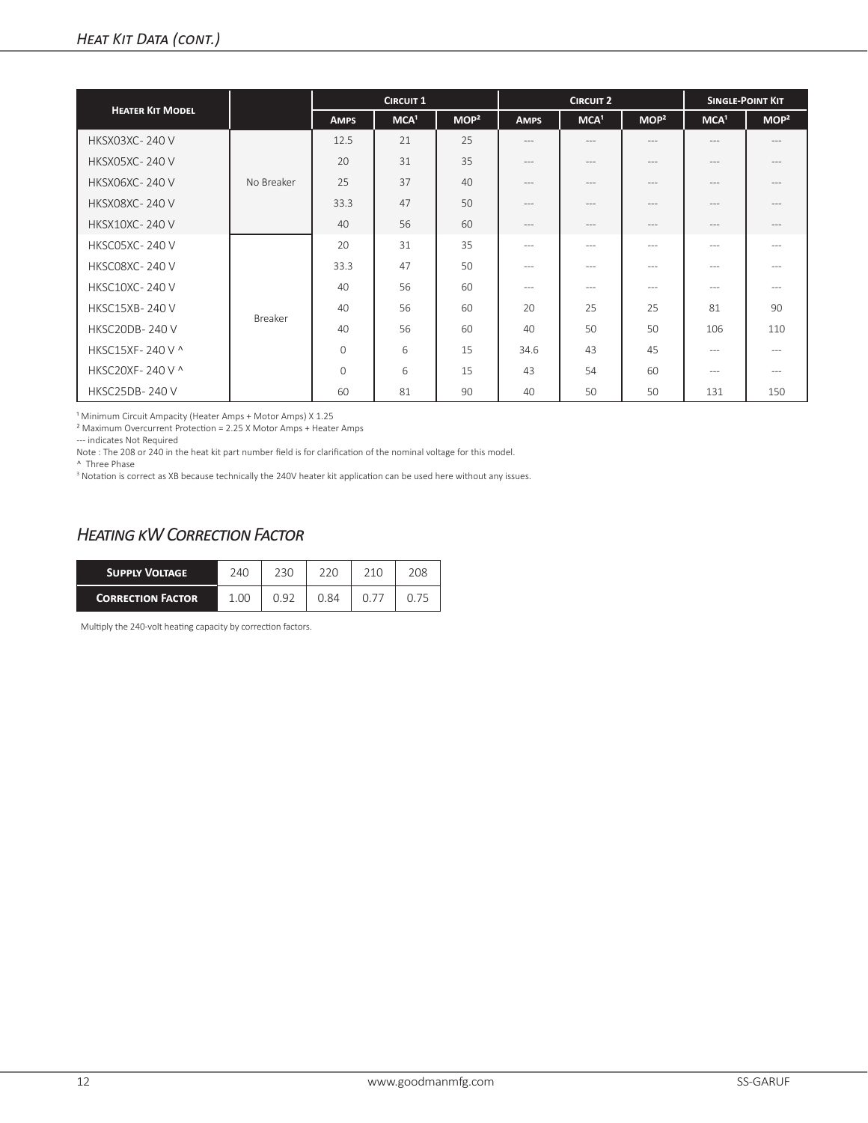|                         |            |             | <b>CIRCUIT 1</b> |                  |               | <b>CIRCUIT 2</b>  |                  | <b>SINGLE-POINT KIT</b> |                  |
|-------------------------|------------|-------------|------------------|------------------|---------------|-------------------|------------------|-------------------------|------------------|
| <b>HEATER KIT MODEL</b> |            | <b>AMPS</b> | MCA <sup>1</sup> | MOP <sup>2</sup> | <b>AMPS</b>   | MCA <sup>1</sup>  | MOP <sup>2</sup> | MCA <sup>1</sup>        | MOP <sup>2</sup> |
| <b>HKSX03XC-240 V</b>   |            | 12.5        | 21               | 25               | $\frac{1}{2}$ | $---$             | $---$            | $---$                   | $---$            |
| <b>HKSX05XC-240 V</b>   |            | 20          | 31               | 35               | $\frac{1}{2}$ | $\qquad \qquad -$ | $---$            | $- - -$                 | $---$            |
| <b>HKSX06XC-240 V</b>   | No Breaker | 25          | 37               | 40               | $---$         | $---$             | $---$            | $---$                   | $---$            |
| <b>HKSX08XC-240 V</b>   |            | 33.3        | 47               | 50               | $\frac{1}{2}$ | $\qquad \qquad -$ | $\frac{1}{2}$    | $---$                   | $---$            |
| <b>HKSX10XC-240 V</b>   |            | 40          | 56               | 60               | $---$         | $---$             | $---$            | $- - -$                 | $---$            |
| <b>HKSC05XC-240 V</b>   |            | 20          | 31               | 35               | $---$         | $---$             | $---$            | $---$                   | $---$            |
| <b>HKSC08XC-240 V</b>   |            | 33.3        | 47               | 50               | $\frac{1}{2}$ | $---$             | $\cdots$         | $---$                   | $---$            |
| <b>HKSC10XC-240 V</b>   |            | 40          | 56               | 60               | $\frac{1}{2}$ | $---$             | $\cdots$         | $---$                   | $---$            |
| <b>HKSC15XB-240 V</b>   |            | 40          | 56               | 60               | 20            | 25                | 25               | 81                      | 90               |
| <b>HKSC20DB-240 V</b>   | Breaker    | 40          | 56               | 60               | 40            | 50                | 50               | 106                     | 110              |
| HKSC15XF-240 V ^        |            | $\Omega$    | 6                | 15               | 34.6          | 43                | 45               | $---$                   | $---$            |
| HKSC20XF-240 V ^        |            | $\Omega$    | 6                | 15               | 43            | 54                | 60               | $---$                   | $---$            |
| <b>HKSC25DB-240V</b>    |            | 60          | 81               | 90               | 40            | 50                | 50               | 131                     | 150              |

<sup>1</sup> Minimum Circuit Ampacity (Heater Amps + Motor Amps) X 1.25

² Maximum Overcurrent Protection = 2.25 X Motor Amps + Heater Amps

--- indicates Not Required

Note : The 208 or 240 in the heat kit part number field is for clarification of the nominal voltage for this model.

^ Three Phase

<sup>3</sup> Notation is correct as XB because technically the 240V heater kit application can be used here without any issues.

# *Heating kW Correction Factor*

| <b>SUPPLY VOLTAGE</b>    | 240  | 230  | 220  | 210 | 208 |
|--------------------------|------|------|------|-----|-----|
| <b>CORRECTION FACTOR</b> | 1.00 | N 92 | 0.84 |     |     |

Multiply the 240-volt heating capacity by correction factors.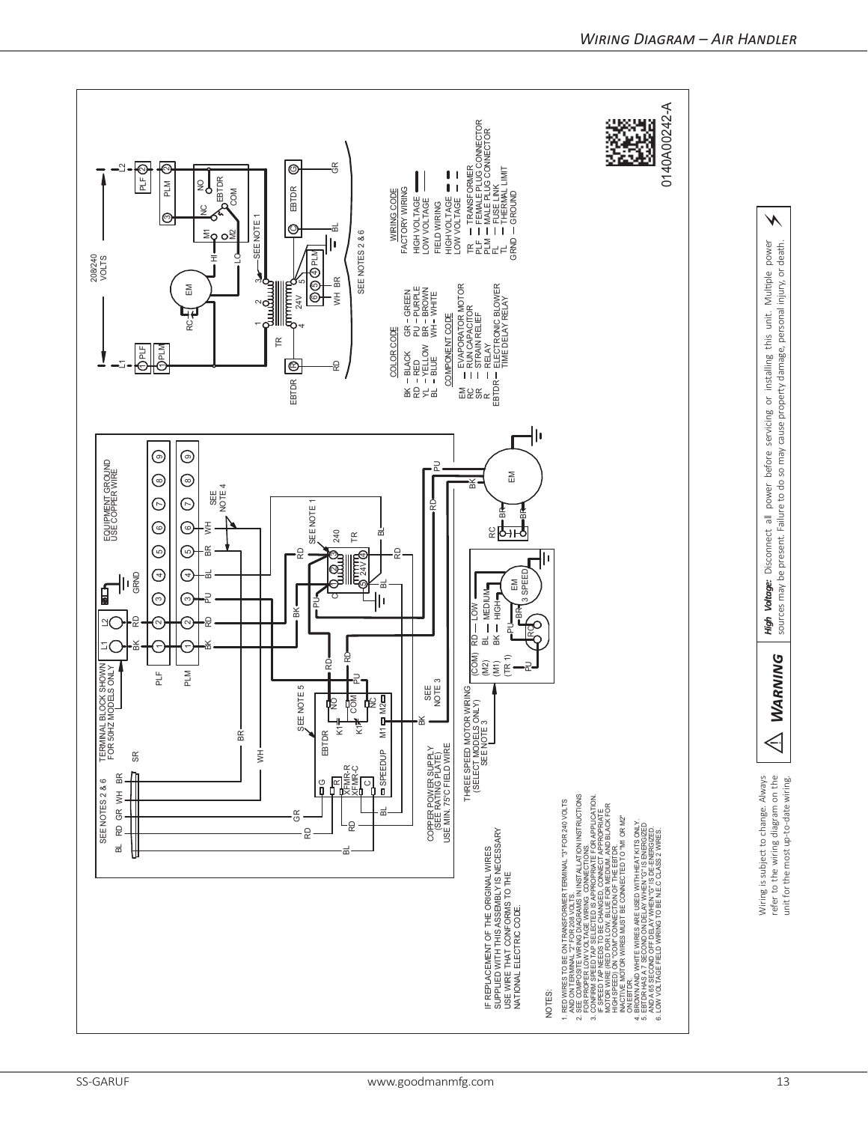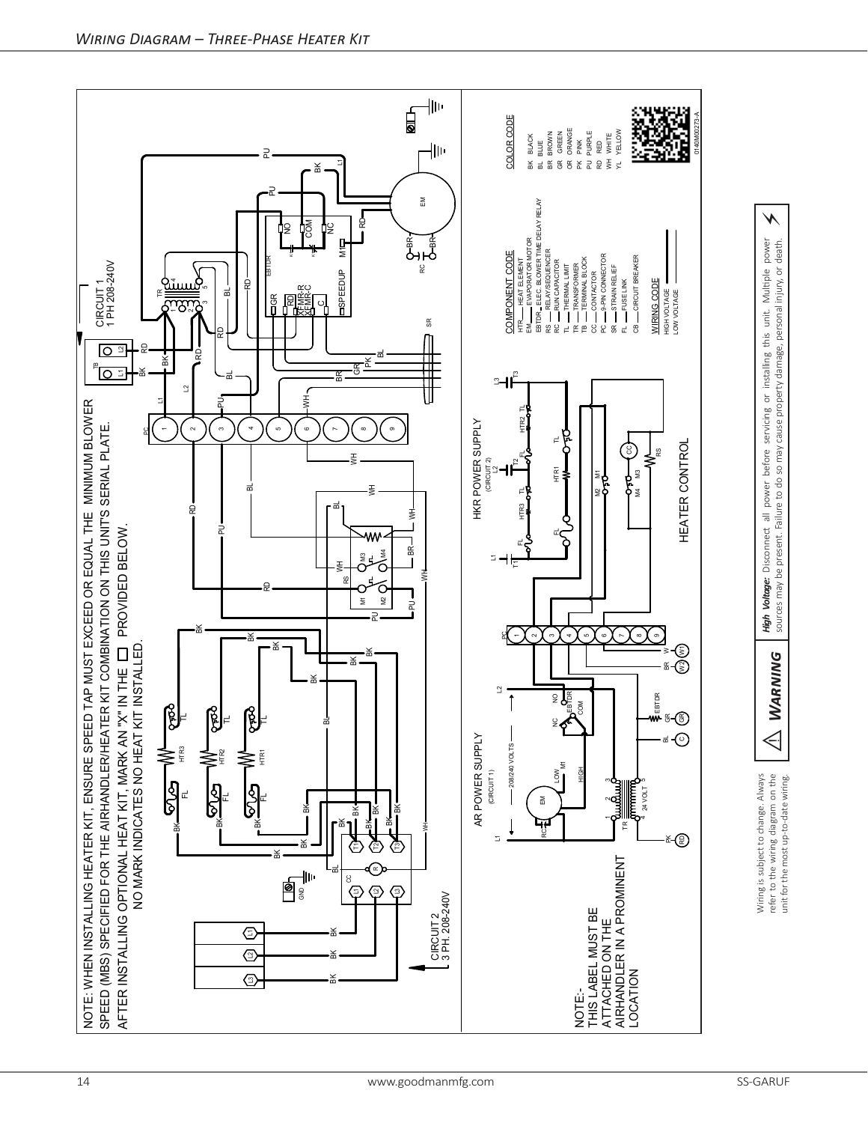

 $\triangleleft$ 

**WARNING** 

*Warning High Voltage:* Disconnect all power before servicing or installing this unit. Multiple power sources may be present. Failure to do so may cause property damage, personal injury, or death.

 $\checkmark$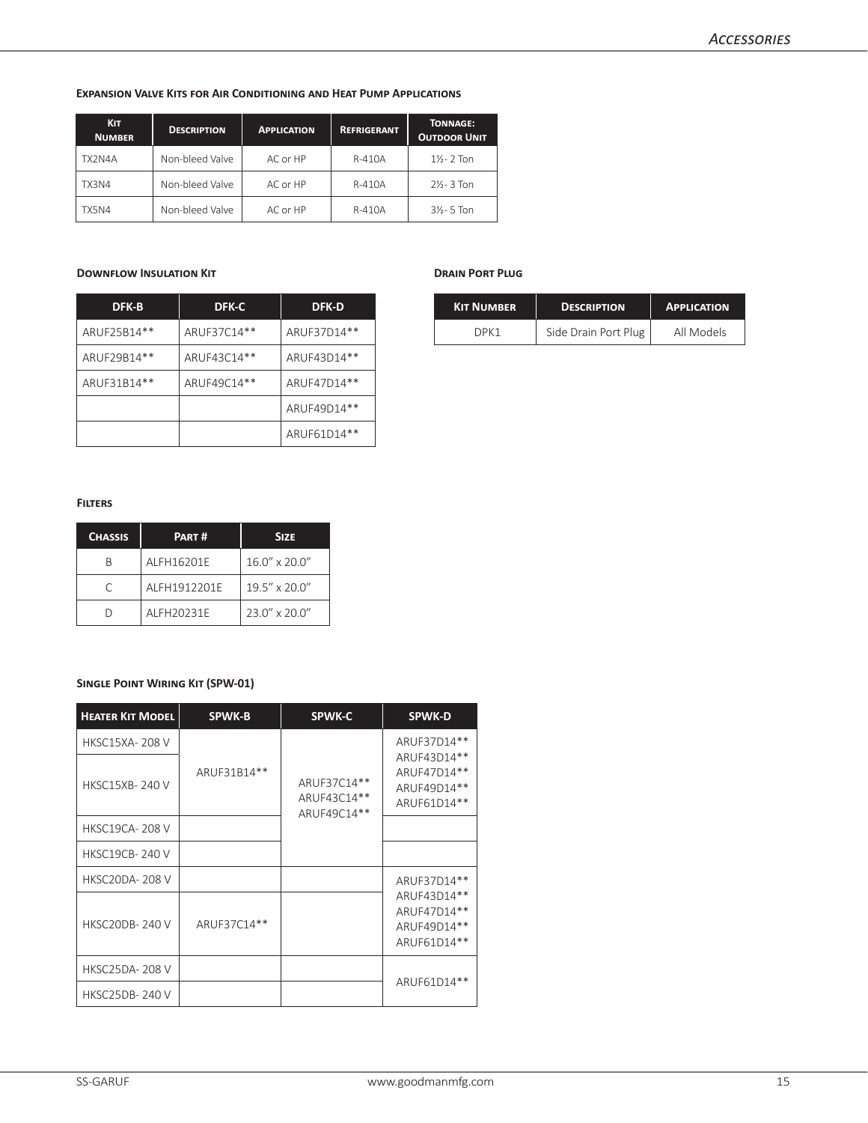#### **Expansion Valve Kits for Air Conditioning and Heat Pump Applications**

| <b>KIT</b><br><b>NUMBER</b> | <b>DESCRIPTION</b> | <b>APPLICATION</b> | <b>REFRIGERANT</b> | <b>TONNAGE:</b><br><b>OUTDOOR UNIT</b> |
|-----------------------------|--------------------|--------------------|--------------------|----------------------------------------|
| TX2N4A                      | Non-bleed Valve    | AC or HP           | R-410A             | $1\% - 2$ Ton                          |
| TX3N4                       | Non-bleed Valve    | AC or HP           | R-410A             | $2\frac{1}{2}$ - 3 Ton                 |
| TX5N4                       | Non-bleed Valve    | AC or HP           | R-410A             | $3\frac{1}{2}$ - 5 Ton                 |

### **Downflow Insulation Kit**

| DFK-B       | <b>DFK-C</b> | <b>DFK-D</b> |
|-------------|--------------|--------------|
| ARUF25B14** | ARUF37C14**  | ARUF37D14**  |
| ARUF29B14** | ARUF43C14**  | ARUF43D14**  |
| ARUF31B14** | ARUF49C14**  | ARUF47D14**  |
|             |              | ARUF49D14**  |
|             |              | ARUF61D14**  |

#### **Drain Port Plug**

| <b>KIT NUMBER</b> | <b>DESCRIPTION</b>   | <b>APPLICATION</b> |
|-------------------|----------------------|--------------------|
| DDK 1             | Side Drain Port Plug | All Models         |

#### **Filters**

| <b>CHASSIS</b> | PART#        | <b>SIZE</b>            |
|----------------|--------------|------------------------|
|                | AI FH16201F  | $16.0'' \times 20.0''$ |
|                | ALFH1912201E | 19.5" x 20.0"          |
|                | AI FH20231F  | 23.0" x 20.0"          |

## **Single Point Wiring Kit (SPW-01)**

| <b>HEATER KIT MODEL</b> | <b>SPWK-B</b> | <b>SPWK-C</b>                             | <b>SPWK-D</b>                                            |
|-------------------------|---------------|-------------------------------------------|----------------------------------------------------------|
| <b>HKSC15XA-208V</b>    |               |                                           | ARUF37D14**                                              |
| <b>HKSC15XB-240V</b>    | ARUF31B14**   | ARUF37C14**<br>ARUF43C14**<br>ARUF49C14** | ARUF43D14**<br>ARUF47D14**<br>ARUF49D14**<br>ARUF61D14** |
| <b>HKSC19CA-208 V</b>   |               |                                           |                                                          |
| <b>HKSC19CB-240 V</b>   |               |                                           |                                                          |
| <b>HKSC20DA-208V</b>    |               |                                           | ARUF37D14**                                              |
| <b>HKSC20DB-240V</b>    | ARUF37C14**   |                                           | ARUF43D14**<br>ARUF47D14**<br>ARUF49D14**<br>ARUF61D14** |
| <b>HKSC25DA-208 V</b>   |               |                                           |                                                          |
| <b>HKSC25DB-240V</b>    |               |                                           | ARUF61D14**                                              |